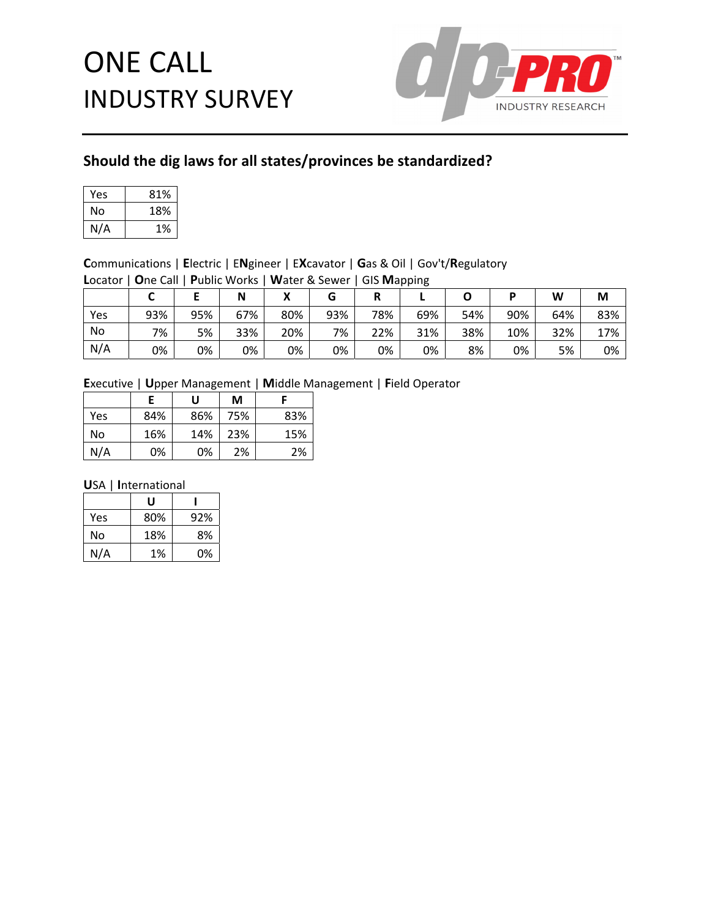

### **Should the dig laws for all states/provinces be standardized?**

| Yes | 81% |
|-----|-----|
| No  | 18% |
| N/A | 1%  |

**C**ommunications | **E**lectric | E**N**gineer | E**X**cavator | **G**as & Oil | Gov't/**R**egulatory **L**ocator | **O**ne Call | **P**ublic Works | **W**ater & Sewer | GIS **M**apping

| .   |     |     |     |     |     |     |     |     |     |     |     |
|-----|-----|-----|-----|-----|-----|-----|-----|-----|-----|-----|-----|
|     |     |     | N   |     | G   |     |     |     |     | w   | М   |
| Yes | 93% | 95% | 67% | 80% | 93% | 78% | 69% | 54% | 90% | 64% | 83% |
| No  | 7%  | 5%  | 33% | 20% | 7%  | 22% | 31% | 38% | 10% | 32% | 17% |
| N/A | 0%  | 0%  | 0%  | 0%  | 0%  | 0%  | 0%  | 8%  | 0%  | 5%  | 0%  |

**E**xecutive | **U**pper Management | **M**iddle Management | **F**ield Operator

|     | Ε   | U   | М   |     |
|-----|-----|-----|-----|-----|
| Yes | 84% | 86% | 75% | 83% |
| No  | 16% | 14% | 23% | 15% |
| N/A | 0%  | 0%  | 2%  | 2%  |

**U**SA | **I**nternational

|     | u   |     |
|-----|-----|-----|
| Yes | 80% | 92% |
| No  | 18% | 8%  |
| N/A | 1%  | 0%  |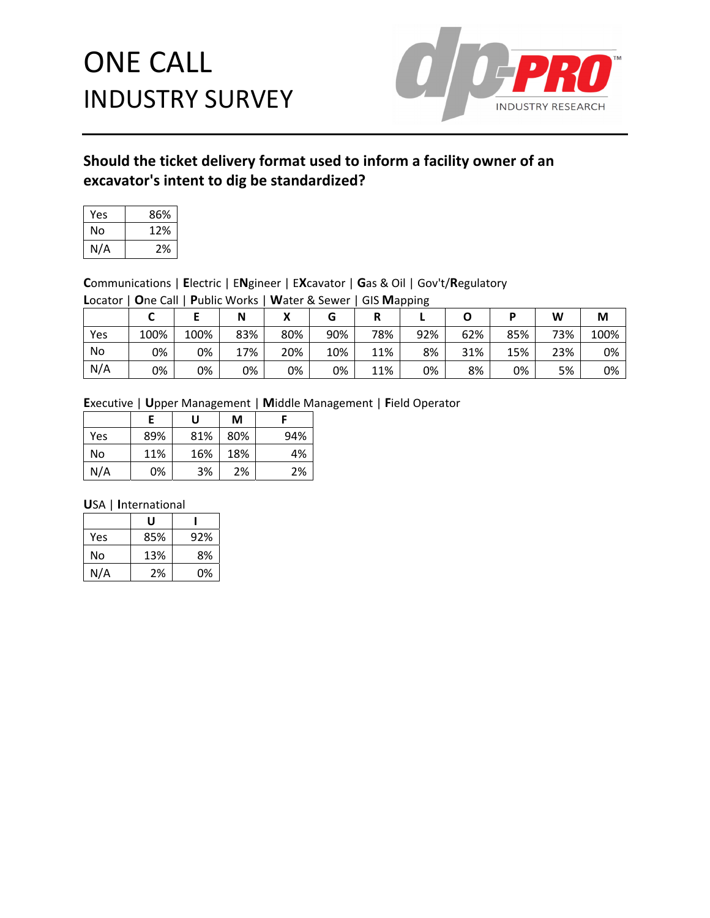

### **Should the ticket delivery format used to inform a facility owner of an excavator's intent to dig be standardized?**

| Yes | 86% |
|-----|-----|
| N٥  | 12% |
| N/A | 2%  |

**C**ommunications | **E**lectric | E**N**gineer | E**X**cavator | **G**as & Oil | Gov't/**R**egulatory **L**ocator | **O**ne Call | **P**ublic Works | **W**ater & Sewer | GIS **M**apping

|     |      |      |     |     |     |     | -   |     |     |     |      |
|-----|------|------|-----|-----|-----|-----|-----|-----|-----|-----|------|
|     |      |      | Ν   |     | G   |     |     |     |     | W   | М    |
| Yes | 100% | 100% | 83% | 80% | 90% | 78% | 92% | 62% | 85% | 73% | 100% |
| No  | 0%   | 0%   | 17% | 20% | 10% | 11% | 8%  | 31% | 15% | 23% | 0%   |
| N/A | 0%   | 0%   | 0%  | 0%  | 0%  | 11% | 0%  | 8%  | 0%  | 5%  | 0%   |

**E**xecutive | **U**pper Management | **M**iddle Management | **F**ield Operator

|     | Е   | U   | М   |     |
|-----|-----|-----|-----|-----|
| Yes | 89% | 81% | 80% | 94% |
| No  | 11% | 16% | 18% | 4%  |
| N/A | 0%  | 3%  | 2%  | 2%  |

#### **U**SA | **I**nternational

|     | U   |     |
|-----|-----|-----|
| Yes | 85% | 92% |
| No  | 13% | 8%  |
| N/A | 2%  | 0%  |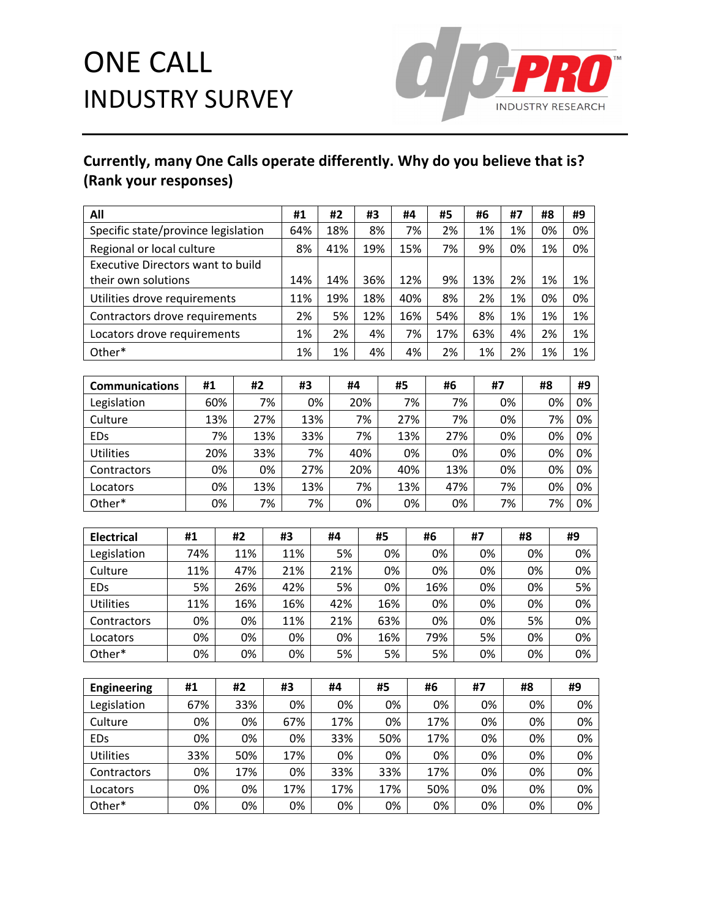

### **Currently, many One Calls operate differently. Why do you believe that is? (Rank your responses)**

| All                                 |           |     |            |     | #1         |    | #2        | #3         |          | #4  | #5        |     | #6       | #7 | #8       |    | #9       |
|-------------------------------------|-----------|-----|------------|-----|------------|----|-----------|------------|----------|-----|-----------|-----|----------|----|----------|----|----------|
| Specific state/province legislation |           |     |            |     | 64%        |    | 18%       | 8%         |          | 7%  | 2%        |     | 1%       | 1% | 0%       |    | 0%       |
| Regional or local culture           |           |     |            |     | 8%         |    | 41%       | 19%        |          | 15% | 7%        |     | 9%       | 0% | 1%       |    | 0%       |
| Executive Directors want to build   |           |     |            |     |            |    |           |            |          |     |           |     |          |    |          |    |          |
| their own solutions                 |           |     |            |     | 14%        |    | 14%       | 36%        |          | 12% | 9%        |     | 13%      | 2% | 1%       |    | 1%       |
| Utilities drove requirements        |           |     |            |     | 11%        |    | 19%       |            | 18%      | 40% | 8%        |     | 2%       | 1% | 0%       |    | 0%       |
| Contractors drove requirements      |           |     |            | 2%  |            | 5% |           | 12%<br>16% |          | 54% |           | 8%  | 1%       | 1% |          | 1% |          |
| Locators drove requirements         |           |     |            | 1%  |            | 2% | 4%        |            | 7%       | 17% |           | 63% | 4%       | 2% |          | 1% |          |
| Other*                              |           |     |            | 1%  |            | 1% | 4%        |            | 4%       | 2%  |           | 1%  | 2%       | 1% |          | 1% |          |
|                                     |           |     |            |     |            |    |           |            |          |     |           |     |          |    |          |    |          |
| <b>Communications</b>               |           | #1  | #2         |     | #3         |    | #4        |            |          | #5  | #6        |     | #7       |    | #8       |    | #9       |
| Legislation                         |           | 60% |            | 7%  |            | 0% |           | 20%        |          | 7%  |           | 7%  |          | 0% |          | 0% | 0%       |
| Culture                             |           | 13% |            | 27% | 13%        |    |           | 7%         |          | 27% |           | 7%  |          | 0% |          | 7% | 0%       |
| <b>EDs</b>                          |           | 7%  |            | 13% | 33%        |    |           | 7%         |          | 13% | 27%       |     |          | 0% |          | 0% | 0%       |
| <b>Utilities</b>                    |           | 20% |            | 33% |            | 7% |           | 40%        |          | 0%  | 0%        |     |          | 0% |          | 0% | 0%       |
| Contractors                         |           | 0%  |            | 0%  | 27%        |    |           | 20%        |          | 40% | 13%       |     |          | 0% |          | 0% | 0%       |
| Locators                            |           | 0%  |            | 13% | 13%        |    |           | 7%         |          | 13% | 47%       |     |          | 7% |          | 0% | 0%       |
| Other*                              |           | 0%  |            | 7%  |            | 7% |           | 0%         |          | 0%  | 0%        |     |          | 7% |          | 7% | 0%       |
|                                     |           |     |            |     |            |    |           |            |          |     |           |     |          |    |          |    |          |
| <b>Electrical</b>                   | #1        |     | #2         |     | #3         |    | #4        |            | #5       |     | #6        |     | #7       |    | #8       |    | #9       |
| Legislation                         | 74%       |     | 11%        |     | 11%        |    | 5%        |            | 0%       |     | 0%        |     | 0%       |    | 0%       |    | 0%       |
| Culture                             | 11%<br>5% |     | 47%        |     | 21%        |    | 21%<br>5% |            | 0%<br>0% |     | 0%        |     | 0%       |    | 0%       |    | 0%       |
| <b>EDs</b><br><b>Utilities</b>      | 11%       |     | 26%<br>16% |     | 42%<br>16% |    | 42%       |            | 16%      |     | 16%<br>0% |     | 0%<br>0% |    | 0%<br>0% |    | 5%<br>0% |
| Contractors                         | 0%        |     | 0%         |     | 11%        |    | 21%       |            | 63%      |     | 0%        |     | 0%       |    | 5%       |    | 0%       |
| Locators                            | 0%        |     | 0%         |     | 0%         |    | 0%        |            | 16%      |     | 79%       |     | 5%       |    | 0%       |    | 0%       |
| Other*                              | 0%        |     | 0%         |     | 0%         |    | 5%        |            | 5%       |     | 5%        |     | 0%       |    | 0%       |    | 0%       |
|                                     |           |     |            |     |            |    |           |            |          |     |           |     |          |    |          |    |          |
| <b>Engineering</b>                  | #1        |     | #2         |     | #3         |    | #4        |            | #5       |     | #6        |     | #7       |    | #8       |    | #9       |
| Legislation                         | 67%       |     | 33%        |     | 0%         |    | 0%        |            | 0%       |     | 0%        |     | 0%       |    | 0%       |    | 0%       |
| Culture                             | 0%        |     | 0%         |     | 67%        |    | 17%       |            | 0%       |     | 17%       |     | 0%       |    | 0%       |    | 0%       |
| <b>EDs</b>                          | 0%        |     | 0%         |     | 0%         |    | 33%       |            | 50%      |     | 17%       |     | 0%       |    | 0%       |    | 0%       |
| <b>Utilities</b>                    | 33%       |     | 50%        |     | 17%        |    | 0%        |            | 0%       |     | 0%        |     | 0%       |    | 0%       |    | 0%       |
| Contractors                         | 0%        |     | 17%        |     | 0%         |    | 33%       |            | 33%      |     | 17%       |     | 0%       |    | 0%       |    | 0%       |
| Locators                            | 0%        |     | 0%         |     | 17%        |    | 17%       |            | 17%      |     | 50%       |     | 0%       |    | 0%       |    | 0%       |
| Other*                              |           |     |            |     |            |    |           |            |          |     |           |     |          |    |          |    | 0%       |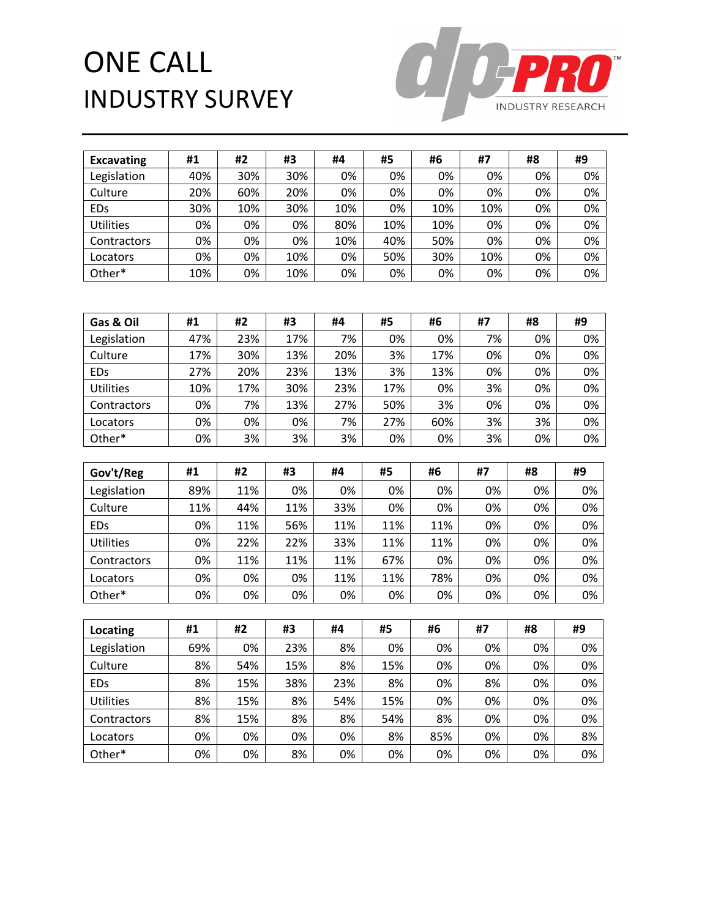

| <b>Excavating</b> | #1  | #2  | #3  | #4    | #5  | #6  | #7  | #8 | #9 |
|-------------------|-----|-----|-----|-------|-----|-----|-----|----|----|
| Legislation       | 40% | 30% | 30% | 0%    | 0%  | 0%  | 0%  | 0% | 0% |
| Culture           | 20% | 60% | 20% | 0%    | 0%  | 0%  | 0%  | 0% | 0% |
| <b>EDs</b>        | 30% | 10% | 30% | 10%   | 0%  | 10% | 10% | 0% | 0% |
| Utilities         | 0%  | 0%  | 0%  | 80%   | 10% | 10% | 0%  | 0% | 0% |
| Contractors       | 0%  | 0%  | 0%  | 10%   | 40% | 50% | 0%  | 0% | 0% |
| Locators          | 0%  | 0%  | 10% | 0%    | 50% | 30% | 10% | 0% | 0% |
| Other*            | 10% | 0%  | 10% | 0%    | 0%  | 0%  | 0%  | 0% | 0% |
|                   |     |     |     |       |     |     |     |    |    |
| Gas & Oil         | #1  | #2  | #3  | #4    | #5  | #6  | #7  | #8 | #9 |
| Legislation       | 47% | 23% | 17% | 7%    | 0%  | 0%  | 7%  | 0% | 0% |
| Culture           | 17% | 30% | 13% | 20%   | 3%  | 17% | 0%  | 0% | 0% |
| <b>EDs</b>        | 27% | 20% | 23% | 13%   | 3%  | 13% | 0%  | 0% | 0% |
| <b>Utilities</b>  | 10% | 17% | 30% | 23%   | 17% | 0%  | 3%  | 0% | 0% |
| Contractors       | 0%  | 7%  | 13% | 27%   | 50% | 3%  | 0%  | 0% | 0% |
| Locators          | 0%  | 0%  | 0%  | 7%    | 27% | 60% | 3%  | 3% | 0% |
| Other*            | 0%  | 3%  | 3%  | 3%    | 0%  | 0%  | 3%  | 0% | 0% |
|                   |     |     |     |       |     |     |     |    |    |
|                   |     |     |     |       |     |     |     |    |    |
| Gov't/Reg         | #1  | #2  | #3  | #4    | #5  | #6  | #7  | #8 | #9 |
| Legislation       | 89% | 11% | 0%  | 0%    | 0%  | 0%  | 0%  | 0% | 0% |
| Culture           | 11% | 44% | 11% | 33%   | 0%  | 0%  | 0%  | 0% | 0% |
| <b>EDs</b>        | 0%  | 11% | 56% | 11%   | 11% | 11% | 0%  | 0% | 0% |
| <b>Utilities</b>  | 0%  | 22% | 22% | 33%   | 11% | 11% | 0%  | 0% | 0% |
| Contractors       | 0%  | 11% | 11% | 11%   | 67% | 0%  | 0%  | 0% | 0% |
| Locators          | 0%  | 0%  | 0%  | 11%   | 11% | 78% | 0%  | 0% | 0% |
| Other*            | 0%  | 0%  | 0%  | 0%    | 0%  | 0%  | 0%  | 0% | 0% |
|                   |     |     |     |       |     |     |     |    |    |
| <b>Locating</b>   | #1  | #2  | #3  | #4    | #5  | #6  | #7  | #8 | #9 |
| Legislation       | 69% | 0%  | 23% | 8%    | 0%  | 0%  | 0%  | 0% | 0% |
| Culture           | 8%  | 54% | 15% | $8\%$ | 15% | 0%  | 0%  | 0% | 0% |
| <b>EDs</b>        | 8%  | 15% | 38% | 23%   | 8%  | 0%  | 8%  | 0% | 0% |
| Utilities         | 8%  | 15% | 8%  | 54%   | 15% | 0%  | 0%  | 0% | 0% |
| Contractors       | 8%  | 15% | 8%  | 8%    | 54% | 8%  | 0%  | 0% | 0% |
| Locators          | 0%  | 0%  | 0%  | 0%    | 8%  | 85% | 0%  | 0% | 8% |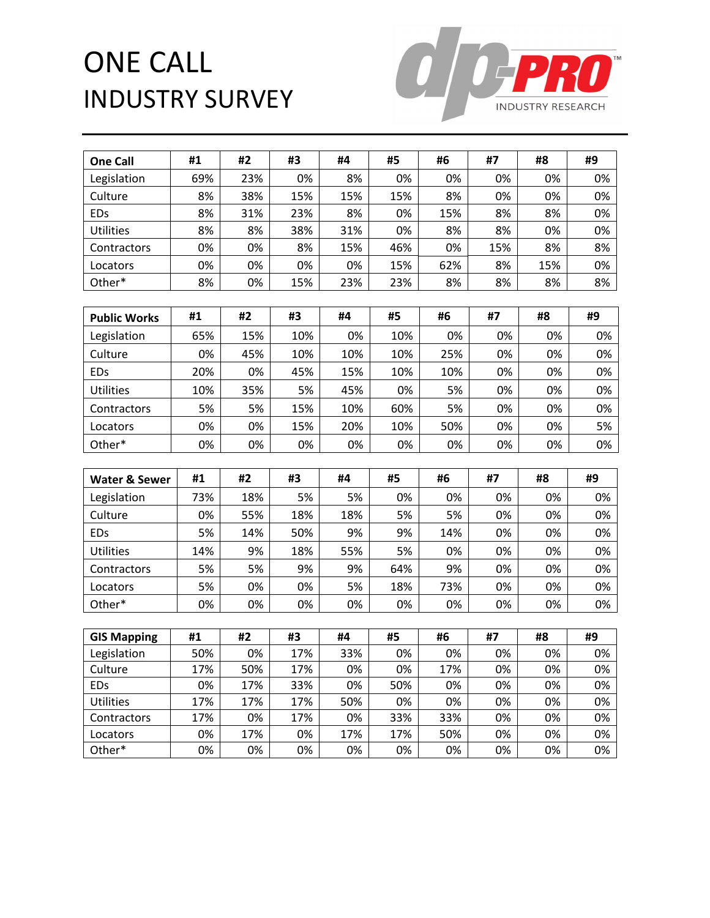

| <b>One Call</b>          | #1  | #2  | #3  | #4  | #5  | #6  | #7  | #8  | #9 |
|--------------------------|-----|-----|-----|-----|-----|-----|-----|-----|----|
| Legislation              | 69% | 23% | 0%  | 8%  | 0%  | 0%  | 0%  | 0%  | 0% |
| Culture                  | 8%  | 38% | 15% | 15% | 15% | 8%  | 0%  | 0%  | 0% |
| <b>EDs</b>               | 8%  | 31% | 23% | 8%  | 0%  | 15% | 8%  | 8%  | 0% |
| Utilities                | 8%  | 8%  | 38% | 31% | 0%  | 8%  | 8%  | 0%  | 0% |
| Contractors              | 0%  | 0%  | 8%  | 15% | 46% | 0%  | 15% | 8%  | 8% |
| Locators                 | 0%  | 0%  | 0%  | 0%  | 15% | 62% | 8%  | 15% | 0% |
| Other*                   | 8%  | 0%  | 15% | 23% | 23% | 8%  | 8%  | 8%  | 8% |
|                          |     |     |     |     |     |     |     |     |    |
| <b>Public Works</b>      | #1  | #2  | #3  | #4  | #5  | #6  | #7  | #8  | #9 |
| Legislation              | 65% | 15% | 10% | 0%  | 10% | 0%  | 0%  | 0%  | 0% |
| Culture                  | 0%  | 45% | 10% | 10% | 10% | 25% | 0%  | 0%  | 0% |
| <b>EDs</b>               | 20% | 0%  | 45% | 15% | 10% | 10% | 0%  | 0%  | 0% |
| <b>Utilities</b>         | 10% | 35% | 5%  | 45% | 0%  | 5%  | 0%  | 0%  | 0% |
| Contractors              | 5%  | 5%  | 15% | 10% | 60% | 5%  | 0%  | 0%  | 0% |
| Locators                 | 0%  | 0%  | 15% | 20% | 10% | 50% | 0%  | 0%  | 5% |
| Other*                   | 0%  | 0%  | 0%  | 0%  | 0%  | 0%  | 0%  | 0%  | 0% |
|                          |     |     |     |     |     |     |     |     |    |
| <b>Water &amp; Sewer</b> | #1  | #2  | #3  | #4  | #5  | #6  | #7  | #8  | #9 |
| Legislation              | 73% | 18% | 5%  | 5%  | 0%  | 0%  | 0%  | 0%  | 0% |
| Culture                  | 0%  | 55% | 18% | 18% | 5%  | 5%  | 0%  | 0%  | 0% |
| <b>EDs</b>               | 5%  | 14% | 50% | 9%  | 9%  | 14% | 0%  | 0%  | 0% |
| <b>Utilities</b>         | 14% | 9%  | 18% | 55% | 5%  | 0%  | 0%  | 0%  | 0% |
| Contractors              | 5%  | 5%  | 9%  | 9%  | 64% | 9%  | 0%  | 0%  | 0% |
| Locators                 | 5%  | 0%  | 0%  | 5%  | 18% | 73% | 0%  | 0%  | 0% |
| Other*                   | 0%  | 0%  | 0%  | 0%  | 0%  | 0%  | 0%  | 0%  | 0% |
|                          |     |     |     |     |     |     |     |     |    |
| <b>GIS Mapping</b>       | #1  | #2  | #3  | #4  | #5  | #6  | #7  | #8  | #9 |
| Legislation              | 50% | 0%  | 17% | 33% | 0%  | 0%  | 0%  | 0%  | 0% |
| Culture                  | 17% | 50% | 17% | 0%  | 0%  | 17% | 0%  | 0%  | 0% |
| <b>EDs</b>               | 0%  | 17% | 33% | 0%  | 50% | 0%  | 0%  | 0%  | 0% |
| Utilities                | 17% | 17% | 17% | 50% | 0%  | 0%  | 0%  | 0%  | 0% |
| Contractors              | 17% | 0%  | 17% | 0%  | 33% | 33% | 0%  | 0%  | 0% |
| Locators                 | 0%  | 17% | 0%  | 17% | 17% | 50% | 0%  | 0%  | 0% |
| Other*                   | 0%  | 0%  | 0%  | 0%  | 0%  | 0%  | 0%  | 0%  | 0% |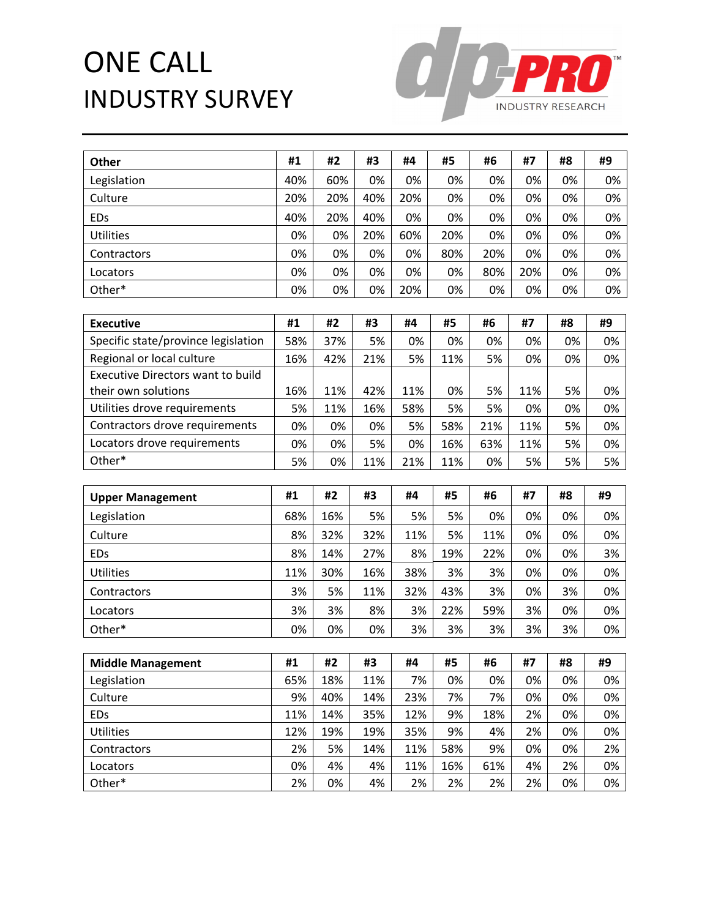

| Other                                    | #1  | #2  | #3  | #4  | #5  | #6  | #7  | #8 | #9 |
|------------------------------------------|-----|-----|-----|-----|-----|-----|-----|----|----|
| Legislation                              | 40% | 60% | 0%  | 0%  | 0%  | 0%  | 0%  | 0% | 0% |
| Culture                                  | 20% | 20% | 40% | 20% | 0%  | 0%  | 0%  | 0% | 0% |
| <b>EDs</b>                               | 40% | 20% | 40% | 0%  | 0%  | 0%  | 0%  | 0% | 0% |
| <b>Utilities</b>                         | 0%  | 0%  | 20% | 60% | 20% | 0%  | 0%  | 0% | 0% |
| Contractors                              | 0%  | 0%  | 0%  | 0%  | 80% | 20% | 0%  | 0% | 0% |
| Locators                                 | 0%  | 0%  | 0%  | 0%  | 0%  | 80% | 20% | 0% | 0% |
| Other*                                   | 0%  | 0%  | 0%  | 20% | 0%  | 0%  | 0%  | 0% | 0% |
|                                          |     |     |     |     |     |     |     |    |    |
| <b>Executive</b>                         | #1  | #2  | #3  | #4  | #5  | #6  | #7  | #8 | #9 |
| Specific state/province legislation      | 58% | 37% | 5%  | 0%  | 0%  | 0%  | 0%  | 0% | 0% |
| Regional or local culture                | 16% | 42% | 21% | 5%  | 11% | 5%  | 0%  | 0% | 0% |
| <b>Executive Directors want to build</b> |     |     |     |     |     |     |     |    |    |
| their own solutions                      | 16% | 11% | 42% | 11% | 0%  | 5%  | 11% | 5% | 0% |
| Utilities drove requirements             | 5%  | 11% | 16% | 58% | 5%  | 5%  | 0%  | 0% | 0% |
| Contractors drove requirements           | 0%  | 0%  | 0%  | 5%  | 58% | 21% | 11% | 5% | 0% |
| Locators drove requirements              | 0%  | 0%  | 5%  | 0%  | 16% | 63% | 11% | 5% | 0% |
| Other*                                   | 5%  | 0%  | 11% | 21% | 11% | 0%  | 5%  | 5% | 5% |
|                                          |     |     |     |     |     |     |     |    |    |
| <b>Upper Management</b>                  | #1  | #2  | #3  | #4  | #5  | #6  | #7  | #8 | #9 |
| Legislation                              | 68% | 16% | 5%  | 5%  | 5%  | 0%  | 0%  | 0% | 0% |
| Culture                                  | 8%  | 32% | 32% | 11% | 5%  | 11% | 0%  | 0% | 0% |
| <b>EDs</b>                               | 8%  | 14% | 27% | 8%  | 19% | 22% | 0%  | 0% | 3% |
| <b>Utilities</b>                         | 11% | 30% | 16% | 38% | 3%  | 3%  | 0%  | 0% | 0% |
| Contractors                              | 3%  | 5%  | 11% | 32% | 43% | 3%  | 0%  | 3% | 0% |
| Locators                                 | 3%  | 3%  | 8%  | 3%  | 22% | 59% | 3%  | 0% | 0% |
| Other*                                   | 0%  | 0%  | 0%  | 3%  | 3%  | 3%  | 3%  | 3% | 0% |
|                                          |     |     |     |     |     |     |     |    |    |
| <b>Middle Management</b>                 | #1  | #2  | #3  | #4  | #5  | #6  | #7  | #8 | #9 |
| Legislation                              | 65% | 18% | 11% | 7%  | 0%  | 0%  | 0%  | 0% | 0% |
| Culture                                  | 9%  | 40% | 14% | 23% | 7%  | 7%  | 0%  | 0% | 0% |
| <b>EDs</b>                               | 11% | 14% | 35% | 12% | 9%  | 18% | 2%  | 0% | 0% |
| <b>Utilities</b>                         | 12% | 19% | 19% | 35% | 9%  | 4%  | 2%  | 0% | 0% |

Contractors 2% 14% 14% 11% 58% 9% 0% 0% 2% Locators 0% 4% 4% 11% 16% 61% 4% 2% 0% Other\* 2% 0% 4% 2% 2% 2% 2% 0% 0%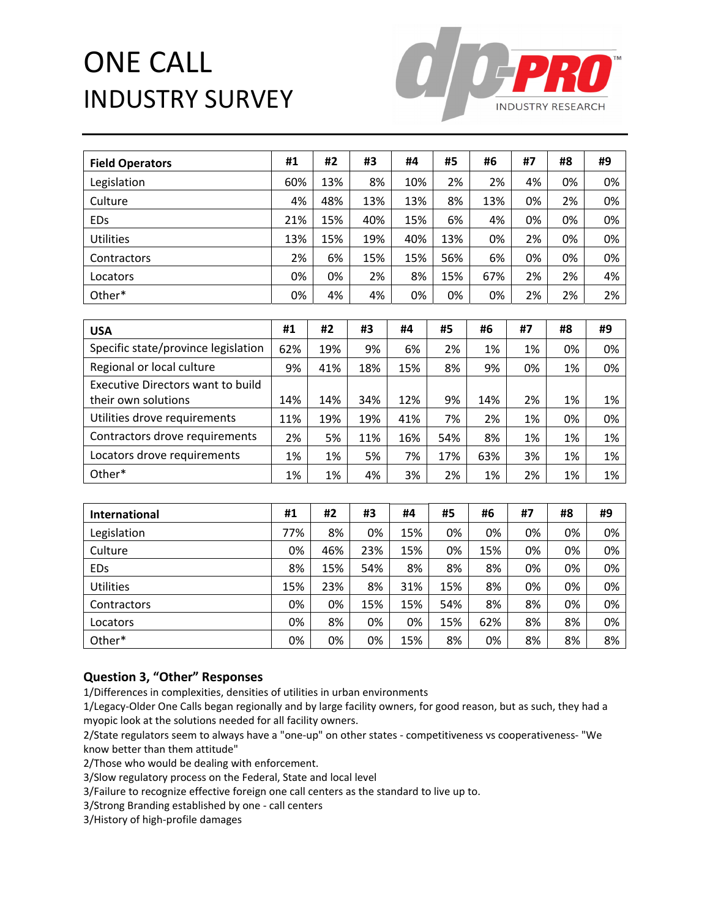

| <b>Field Operators</b> | #1  | #2  | #3  | #4  | #5  | #6  | #7 | #8 | #9 |
|------------------------|-----|-----|-----|-----|-----|-----|----|----|----|
| Legislation            | 60% | 13% | 8%  | 10% | 2%  | 2%  | 4% | 0% | 0% |
| Culture                | 4%  | 48% | 13% | 13% | 8%  | 13% | 0% | 2% | 0% |
| <b>EDs</b>             | 21% | 15% | 40% | 15% | 6%  | 4%  | 0% | 0% | 0% |
| <b>Utilities</b>       | 13% | 15% | 19% | 40% | 13% | 0%  | 2% | 0% | 0% |
| Contractors            | 2%  | 6%  | 15% | 15% | 56% | 6%  | 0% | 0% | 0% |
| Locators               | 0%  | 0%  | 2%  | 8%  | 15% | 67% | 2% | 2% | 4% |
| Other*                 | 0%  | 4%  | 4%  | 0%  | 0%  | 0%  | 2% | 2% | 2% |

| <b>USA</b>                          | #1  | #2  | #3  | #4  | #5  | #6  | #7 | #8 | #9 |
|-------------------------------------|-----|-----|-----|-----|-----|-----|----|----|----|
| Specific state/province legislation | 62% | 19% | 9%  | 6%  | 2%  | 1%  | 1% | 0% | 0% |
| Regional or local culture           | 9%  | 41% | 18% | 15% | 8%  | 9%  | 0% | 1% | 0% |
| Executive Directors want to build   |     |     |     |     |     |     |    |    |    |
| their own solutions                 | 14% | 14% | 34% | 12% | 9%  | 14% | 2% | 1% | 1% |
| Utilities drove requirements        | 11% | 19% | 19% | 41% | 7%  | 2%  | 1% | 0% | 0% |
| Contractors drove requirements      | 2%  | 5%  | 11% | 16% | 54% | 8%  | 1% | 1% | 1% |
| Locators drove requirements         | 1%  | 1%  | 5%  | 7%  | 17% | 63% | 3% | 1% | 1% |
| Other*                              | 1%  | 1%  | 4%  | 3%  | 2%  | 1%  | 2% | 1% | 1% |

| <b>International</b> | #1  | #2  | #3  | #4  | #5  | #6  | #7 | #8 | #9 |
|----------------------|-----|-----|-----|-----|-----|-----|----|----|----|
| Legislation          | 77% | 8%  | 0%  | 15% | 0%  | 0%  | 0% | 0% | 0% |
| Culture              | 0%  | 46% | 23% | 15% | 0%  | 15% | 0% | 0% | 0% |
| <b>EDs</b>           | 8%  | 15% | 54% | 8%  | 8%  | 8%  | 0% | 0% | 0% |
| <b>Utilities</b>     | 15% | 23% | 8%  | 31% | 15% | 8%  | 0% | 0% | 0% |
| Contractors          | 0%  | 0%  | 15% | 15% | 54% | 8%  | 8% | 0% | 0% |
| Locators             | 0%  | 8%  | 0%  | 0%  | 15% | 62% | 8% | 8% | 0% |
| Other*               | 0%  | 0%  | 0%  | 15% | 8%  | 0%  | 8% | 8% | 8% |

### **Question 3, "Other" Responses**

1/Differences in complexities, densities of utilities in urban environments

1/Legacy‐Older One Calls began regionally and by large facility owners, for good reason, but as such, they had a myopic look at the solutions needed for all facility owners.

2/State regulators seem to always have a "one‐up" on other states ‐ competitiveness vs cooperativeness‐ "We know better than them attitude"

2/Those who would be dealing with enforcement.

3/Slow regulatory process on the Federal, State and local level

3/Failure to recognize effective foreign one call centers as the standard to live up to.

3/Strong Branding established by one ‐ call centers

3/History of high‐profile damages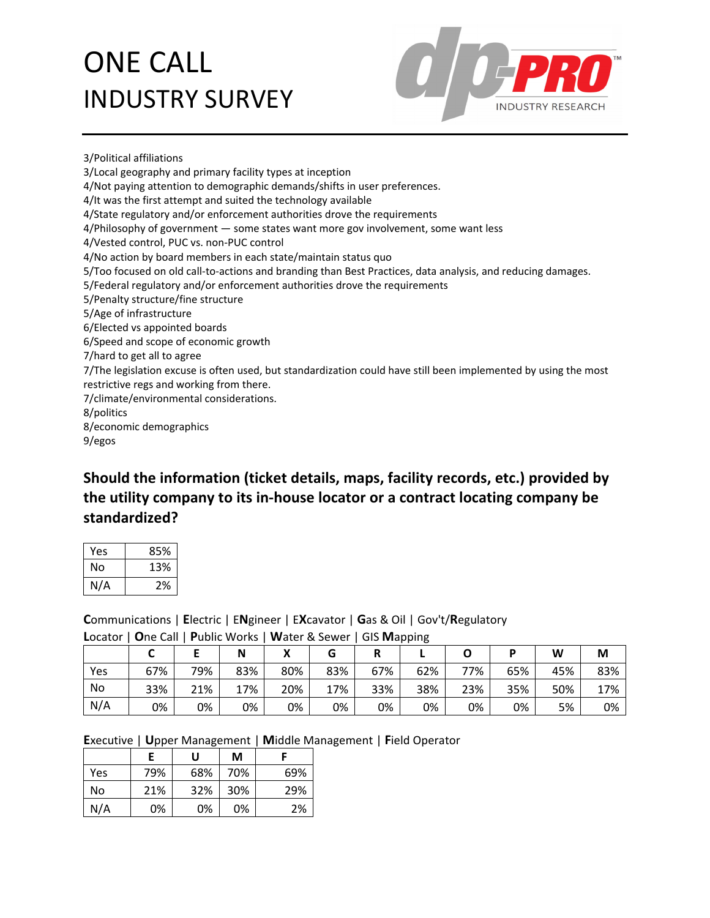

3/Political affiliations 3/Local geography and primary facility types at inception 4/Not paying attention to demographic demands/shifts in user preferences. 4/It was the first attempt and suited the technology available 4/State regulatory and/or enforcement authorities drove the requirements 4/Philosophy of government — some states want more gov involvement, some want less 4/Vested control, PUC vs. non‐PUC control 4/No action by board members in each state/maintain status quo 5/Too focused on old call-to-actions and branding than Best Practices, data analysis, and reducing damages. 5/Federal regulatory and/or enforcement authorities drove the requirements 5/Penalty structure/fine structure 5/Age of infrastructure 6/Elected vs appointed boards 6/Speed and scope of economic growth 7/hard to get all to agree 7/The legislation excuse is often used, but standardization could have still been implemented by using the most restrictive regs and working from there. 7/climate/environmental considerations. 8/politics 8/economic demographics 9/egos

### **Should the information (ticket details, maps, facility records, etc.) provided by the utility company to its in‐house locator or a contract locating company be standardized?**

| Yes | 85% |
|-----|-----|
| N٥  | 13% |
| N/A | 2%  |

**C**ommunications | **E**lectric | E**N**gineer | E**X**cavator | **G**as & Oil | Gov't/**R**egulatory **L**ocator | **O**ne Call | **P**ublic Works | **W**ater & Sewer | GIS **M**apping

| LUCALUI | UIE CAILL |     | <b>FULL WUIS</b> |     | <b>WALEL &amp; SEWEL</b> | <b>SUBJIVIADULLE</b> |     |     |     |     |     |
|---------|-----------|-----|------------------|-----|--------------------------|----------------------|-----|-----|-----|-----|-----|
|         | ∼         |     | N                |     | G                        |                      |     |     |     | W   | М   |
| Yes     | 67%       | 79% | 83%              | 80% | 83%                      | 67%                  | 62% | 77% | 65% | 45% | 83% |
| No      | 33%       | 21% | 17%              | 20% | 17%                      | 33%                  | 38% | 23% | 35% | 50% | 17% |
| N/A     | 0%        | 0%  | 0%               | 0%  | 0%                       | 0%                   | 0%  | 0%  | 0%  | 5%  | 0%  |

**E**xecutive | **U**pper Management | **M**iddle Management | **F**ield Operator

|     |     | U   | М   |     |
|-----|-----|-----|-----|-----|
| Yes | 79% | 68% | 70% | 69% |
| No  | 21% | 32% | 30% | 29% |
| N/A | 0%  | 0%  | 0%  | 2%  |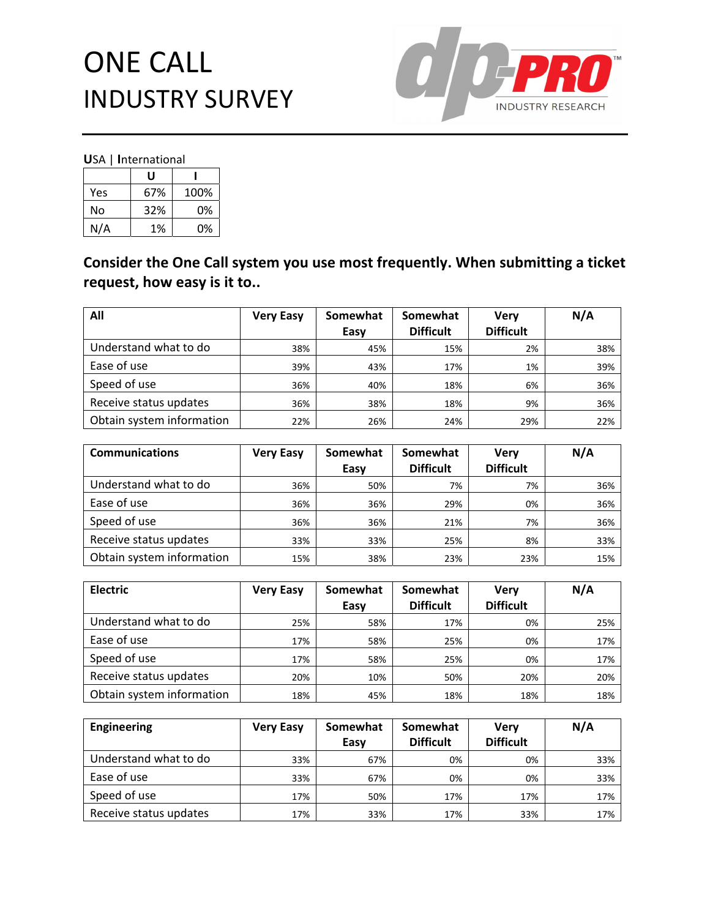

### **U**SA | **I**nternational

|     | U   |      |
|-----|-----|------|
| Yes | 67% | 100% |
| No  | 32% | 0%   |
| N/A | 1%  | 0%   |

**Consider the One Call system you use most frequently. When submitting a ticket request, how easy is it to..**

| All                       | <b>Very Easy</b> | Somewhat<br>Easy | Somewhat<br><b>Difficult</b> | <b>Very</b><br><b>Difficult</b> | N/A |
|---------------------------|------------------|------------------|------------------------------|---------------------------------|-----|
| Understand what to do     | 38%              | 45%              | 15%                          | 2%                              | 38% |
| Ease of use               | 39%              | 43%              | 17%                          | 1%                              | 39% |
| Speed of use              | 36%              | 40%              | 18%                          | 6%                              | 36% |
| Receive status updates    | 36%              | 38%              | 18%                          | 9%                              | 36% |
| Obtain system information | 22%              | 26%              | 24%                          | 29%                             | 22% |

| <b>Communications</b>     | <b>Very Easy</b> | Somewhat<br>Easy | Somewhat<br><b>Difficult</b> | <b>Verv</b><br><b>Difficult</b> | N/A |
|---------------------------|------------------|------------------|------------------------------|---------------------------------|-----|
| Understand what to do     | 36%              | 50%              | 7%                           | 7%                              | 36% |
| Ease of use               | 36%              | 36%              | 29%                          | 0%                              | 36% |
| Speed of use              | 36%              | 36%              | 21%                          | 7%                              | 36% |
| Receive status updates    | 33%              | 33%              | 25%                          | 8%                              | 33% |
| Obtain system information | 15%              | 38%              | 23%                          | 23%                             | 15% |

| <b>Electric</b>           | <b>Very Easy</b> | Somewhat<br>Easy | Somewhat<br><b>Difficult</b> | <b>Verv</b><br><b>Difficult</b> | N/A |
|---------------------------|------------------|------------------|------------------------------|---------------------------------|-----|
|                           |                  |                  |                              |                                 |     |
| Understand what to do     | 25%              | 58%              | 17%                          | 0%                              | 25% |
| Ease of use               | 17%              | 58%              | 25%                          | 0%                              | 17% |
| Speed of use              | 17%              | 58%              | 25%                          | 0%                              | 17% |
| Receive status updates    | 20%              | 10%              | 50%                          | 20%                             | 20% |
| Obtain system information | 18%              | 45%              | 18%                          | 18%                             | 18% |

| <b>Engineering</b>     | <b>Very Easy</b> | Somewhat | Somewhat         | Verv             | N/A |
|------------------------|------------------|----------|------------------|------------------|-----|
|                        |                  | Easy     | <b>Difficult</b> | <b>Difficult</b> |     |
| Understand what to do  | 33%              | 67%      | 0%               | 0%               | 33% |
| Ease of use            | 33%              | 67%      | 0%               | 0%               | 33% |
| Speed of use           | 17%              | 50%      | 17%              | 17%              | 17% |
| Receive status updates | 17%              | 33%      | 17%              | 33%              | 17% |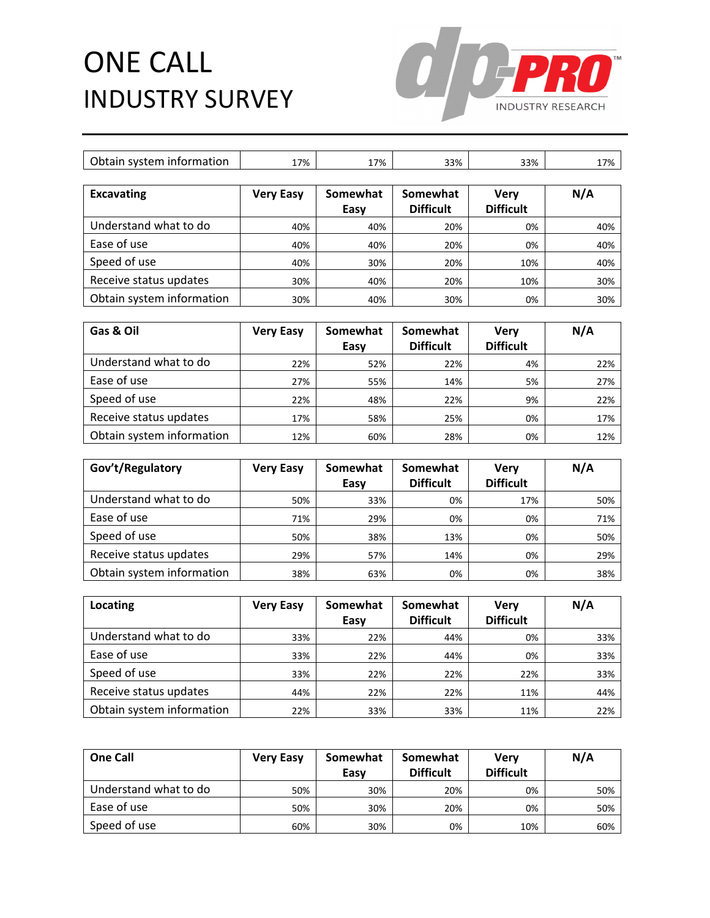

| Obtain system information | 17%              | 17%      | 33%              | 33%              | 17% |
|---------------------------|------------------|----------|------------------|------------------|-----|
|                           |                  |          |                  |                  |     |
| <b>Excavating</b>         | <b>Very Easy</b> | Somewhat | Somewhat         | <b>Very</b>      | N/A |
|                           |                  | Easy     | <b>Difficult</b> | <b>Difficult</b> |     |
| Understand what to do     | 40%              | 40%      | 20%              | 0%               | 40% |
| Ease of use               | 40%              | 40%      | 20%              | 0%               | 40% |
| Speed of use              | 40%              | 30%      | 20%              | 10%              | 40% |
| Receive status updates    | 30%              | 40%      | 20%              | 10%              | 30% |
| Obtain system information | 30%              | 40%      | 30%              | 0%               | 30% |

| Gas & Oil                 | <b>Very Easy</b> | Somewhat<br>Easy | Somewhat<br><b>Difficult</b> | <b>Very</b><br><b>Difficult</b> | N/A |
|---------------------------|------------------|------------------|------------------------------|---------------------------------|-----|
| Understand what to do     | 22%              | 52%              | 22%                          | 4%                              | 22% |
| Ease of use               | 27%              | 55%              | 14%                          | 5%                              | 27% |
| Speed of use              | 22%              | 48%              | 22%                          | 9%                              | 22% |
| Receive status updates    | 17%              | 58%              | 25%                          | 0%                              | 17% |
| Obtain system information | 12%              | 60%              | 28%                          | 0%                              | 12% |

| Gov't/Regulatory          | <b>Very Easy</b> | Somewhat<br>Easy | Somewhat<br><b>Difficult</b> | <b>Verv</b><br><b>Difficult</b> | N/A |
|---------------------------|------------------|------------------|------------------------------|---------------------------------|-----|
| Understand what to do     | 50%              | 33%              | 0%                           | 17%                             | 50% |
| Ease of use               | 71%              | 29%              | 0%                           | 0%                              | 71% |
| Speed of use              | 50%              | 38%              | 13%                          | 0%                              | 50% |
| Receive status updates    | 29%              | 57%              | 14%                          | 0%                              | 29% |
| Obtain system information | 38%              | 63%              | 0%                           | 0%                              | 38% |

| Locating                  | <b>Very Easy</b> | Somewhat | Somewhat         | <b>Verv</b>      | N/A |
|---------------------------|------------------|----------|------------------|------------------|-----|
|                           |                  | Easy     | <b>Difficult</b> | <b>Difficult</b> |     |
| Understand what to do     | 33%              | 22%      | 44%              | 0%               | 33% |
| Ease of use               | 33%              | 22%      | 44%              | 0%               | 33% |
| Speed of use              | 33%              | 22%      | 22%              | 22%              | 33% |
| Receive status updates    | 44%              | 22%      | 22%              | 11%              | 44% |
| Obtain system information | 22%              | 33%      | 33%              | 11%              | 22% |

| <b>One Call</b>       | <b>Very Easy</b> | Somewhat<br>Easy | Somewhat<br><b>Difficult</b> | Verv<br><b>Difficult</b> | N/A |
|-----------------------|------------------|------------------|------------------------------|--------------------------|-----|
| Understand what to do | 50%              | 30%              | 20%                          | 0%                       | 50% |
| Ease of use           | 50%              | 30%              | 20%                          | 0%                       | 50% |
| Speed of use          | 60%              | 30%              | 0%                           | 10%                      | 60% |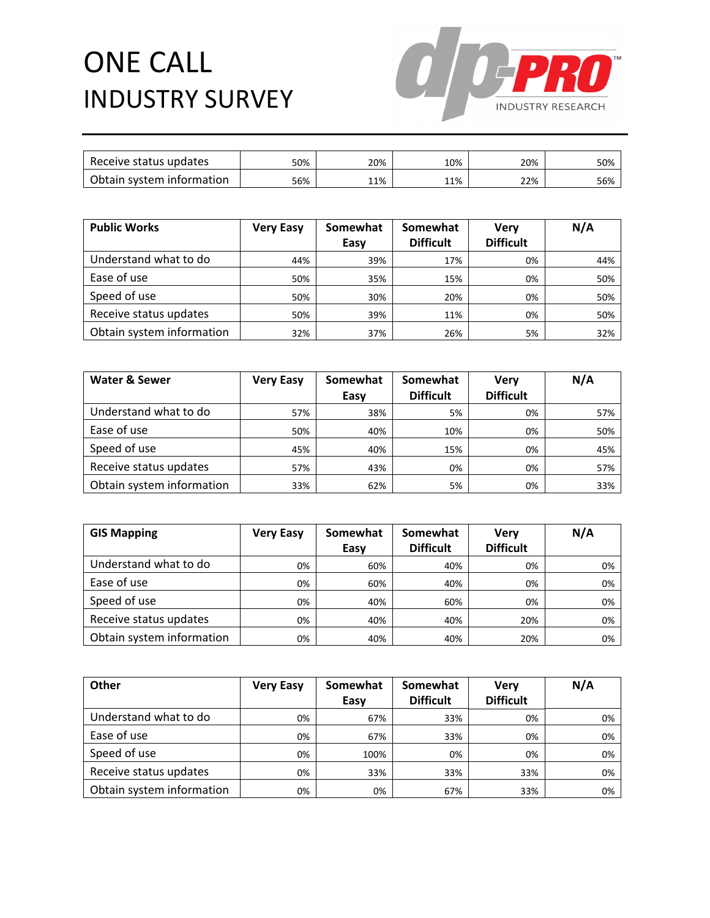

| Receive status updates    | 50% | 20% | 10% | 20% | 50% |
|---------------------------|-----|-----|-----|-----|-----|
| Obtain system information | 56% | 11% | 11% | 22% | 56% |

| <b>Public Works</b>       | <b>Very Easy</b> | Somewhat<br>Easy | Somewhat<br><b>Difficult</b> | <b>Verv</b><br><b>Difficult</b> | N/A |
|---------------------------|------------------|------------------|------------------------------|---------------------------------|-----|
| Understand what to do     | 44%              | 39%              | 17%                          | 0%                              | 44% |
| Ease of use               | 50%              | 35%              | 15%                          | 0%                              | 50% |
| Speed of use              | 50%              | 30%              | 20%                          | 0%                              | 50% |
| Receive status updates    | 50%              | 39%              | 11%                          | 0%                              | 50% |
| Obtain system information | 32%              | 37%              | 26%                          | 5%                              | 32% |

| <b>Water &amp; Sewer</b>  | <b>Very Easy</b> | Somewhat<br>Easy | Somewhat<br><b>Difficult</b> | <b>Very</b><br><b>Difficult</b> | N/A |
|---------------------------|------------------|------------------|------------------------------|---------------------------------|-----|
| Understand what to do     | 57%              | 38%              | 5%                           | 0%                              | 57% |
| Ease of use               | 50%              | 40%              | 10%                          | 0%                              | 50% |
| Speed of use              | 45%              | 40%              | 15%                          | 0%                              | 45% |
| Receive status updates    | 57%              | 43%              | 0%                           | 0%                              | 57% |
| Obtain system information | 33%              | 62%              | 5%                           | 0%                              | 33% |

| <b>GIS Mapping</b>        | <b>Very Easy</b> | Somewhat<br>Easy | Somewhat<br><b>Difficult</b> | <b>Very</b><br><b>Difficult</b> | N/A |
|---------------------------|------------------|------------------|------------------------------|---------------------------------|-----|
| Understand what to do     | 0%               | 60%              | 40%                          | 0%                              | 0%  |
| Ease of use               | 0%               | 60%              | 40%                          | 0%                              | 0%  |
| Speed of use              | 0%               | 40%              | 60%                          | 0%                              | 0%  |
| Receive status updates    | 0%               | 40%              | 40%                          | 20%                             | 0%  |
| Obtain system information | 0%               | 40%              | 40%                          | 20%                             | 0%  |

| Other                     | <b>Very Easy</b> | Somewhat | Somewhat         | <b>Verv</b>      | N/A |
|---------------------------|------------------|----------|------------------|------------------|-----|
|                           |                  | Easy     | <b>Difficult</b> | <b>Difficult</b> |     |
| Understand what to do     | 0%               | 67%      | 33%              | 0%               | 0%  |
| Ease of use               | 0%               | 67%      | 33%              | 0%               | 0%  |
| Speed of use              | 0%               | 100%     | 0%               | 0%               | 0%  |
| Receive status updates    | 0%               | 33%      | 33%              | 33%              | 0%  |
| Obtain system information | 0%               | 0%       | 67%              | 33%              | 0%  |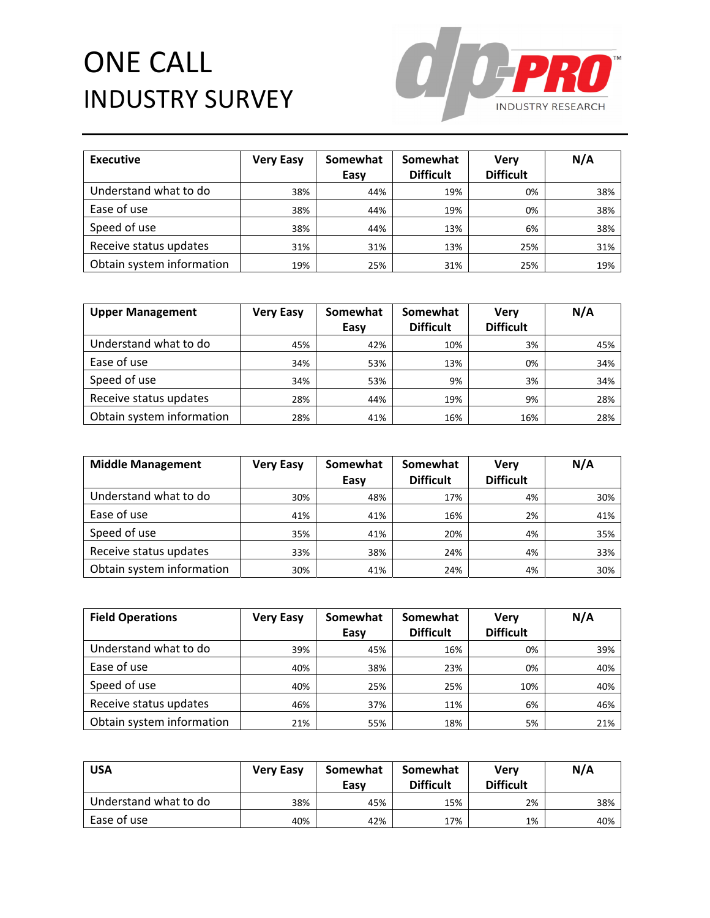

| <b>Executive</b>          | <b>Very Easy</b> | Somewhat<br>Easy | Somewhat<br><b>Difficult</b> | <b>Very</b><br><b>Difficult</b> | N/A |
|---------------------------|------------------|------------------|------------------------------|---------------------------------|-----|
| Understand what to do     | 38%              | 44%              | 19%                          | 0%                              | 38% |
| Ease of use               | 38%              | 44%              | 19%                          | 0%                              | 38% |
| Speed of use              | 38%              | 44%              | 13%                          | 6%                              | 38% |
| Receive status updates    | 31%              | 31%              | 13%                          | 25%                             | 31% |
| Obtain system information | 19%              | 25%              | 31%                          | 25%                             | 19% |

| <b>Upper Management</b>   | <b>Very Easy</b> | Somewhat | Somewhat         | <b>Verv</b>      | N/A |
|---------------------------|------------------|----------|------------------|------------------|-----|
|                           |                  | Easy     | <b>Difficult</b> | <b>Difficult</b> |     |
| Understand what to do     | 45%              | 42%      | 10%              | 3%               | 45% |
| Ease of use               | 34%              | 53%      | 13%              | 0%               | 34% |
| Speed of use              | 34%              | 53%      | 9%               | 3%               | 34% |
| Receive status updates    | 28%              | 44%      | 19%              | 9%               | 28% |
| Obtain system information | 28%              | 41%      | 16%              | 16%              | 28% |

| <b>Middle Management</b>  | <b>Very Easy</b> | Somewhat | Somewhat         | <b>Very</b>      | N/A |
|---------------------------|------------------|----------|------------------|------------------|-----|
|                           |                  | Easy     | <b>Difficult</b> | <b>Difficult</b> |     |
| Understand what to do     | 30%              | 48%      | 17%              | 4%               | 30% |
| Ease of use               | 41%              | 41%      | 16%              | 2%               | 41% |
| Speed of use              | 35%              | 41%      | 20%              | 4%               | 35% |
| Receive status updates    | 33%              | 38%      | 24%              | 4%               | 33% |
| Obtain system information | 30%              | 41%      | 24%              | 4%               | 30% |

| <b>Field Operations</b>   | <b>Very Easy</b> | Somewhat | Somewhat         | <b>Very</b>      | N/A |
|---------------------------|------------------|----------|------------------|------------------|-----|
|                           |                  | Easy     | <b>Difficult</b> | <b>Difficult</b> |     |
| Understand what to do     | 39%              | 45%      | 16%              | 0%               | 39% |
| Ease of use               | 40%              | 38%      | 23%              | 0%               | 40% |
| Speed of use              | 40%              | 25%      | 25%              | 10%              | 40% |
| Receive status updates    | 46%              | 37%      | 11%              | 6%               | 46% |
| Obtain system information | 21%              | 55%      | 18%              | 5%               | 21% |

| <b>USA</b>            | <b>Very Easy</b> | Somewhat<br>Easv | Somewhat<br><b>Difficult</b> | Verv<br><b>Difficult</b> | N/A |
|-----------------------|------------------|------------------|------------------------------|--------------------------|-----|
| Understand what to do | 38%              | 45%              | 15%                          | 2%                       | 38% |
| Ease of use           | 40%              | 42%              | 17%                          | 1%                       | 40% |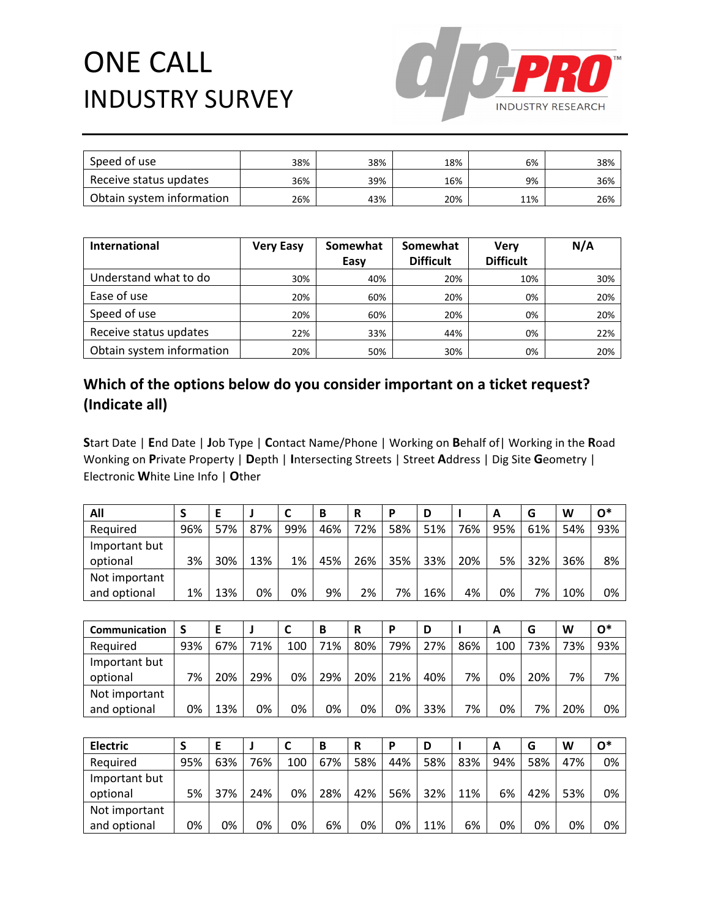

| Speed of use              | 38% | 38% | 18% | 6%  | 38% |
|---------------------------|-----|-----|-----|-----|-----|
| Receive status updates    | 36% | 39% | 16% | 9%  | 36% |
| Obtain system information | 26% | 43% | 20% | 11% | 26% |

| International             | <b>Very Easy</b> | Somewhat | Somewhat         | <b>Very</b>      | N/A |
|---------------------------|------------------|----------|------------------|------------------|-----|
|                           |                  | Easy     | <b>Difficult</b> | <b>Difficult</b> |     |
| Understand what to do     | 30%              | 40%      | 20%              | 10%              | 30% |
| Ease of use               | 20%              | 60%      | 20%              | 0%               | 20% |
| Speed of use              | 20%              | 60%      | 20%              | 0%               | 20% |
| Receive status updates    | 22%              | 33%      | 44%              | 0%               | 22% |
| Obtain system information | 20%              | 50%      | 30%              | 0%               | 20% |

### **Which of the options below do you consider important on a ticket request? (Indicate all)**

**S**tart Date | **E**nd Date | **J**ob Type | **C**ontact Name/Phone | Working on **B**ehalf of| Working in the **R**oad Wonking on **P**rivate Property | **D**epth | **I**ntersecting Streets | Street **A**ddress | Dig Site **G**eometry | Electronic **W**hite Line Info | **O**ther

| All           |     | E   |     |     | В   | R   | P   | D   |     | A   | G   | W   | 0*  |
|---------------|-----|-----|-----|-----|-----|-----|-----|-----|-----|-----|-----|-----|-----|
| Required      | 96% | 57% | 87% | 99% | 46% | 72% | 58% | 51% | 76% | 95% | 61% | 54% | 93% |
| Important but |     |     |     |     |     |     |     |     |     |     |     |     |     |
| optional      | 3%  | 30% | 13% | 1%  | 45% | 26% | 35% | 33% | 20% | 5%  | 32% | 36% | 8%  |
| Not important |     |     |     |     |     |     |     |     |     |     |     |     |     |
| and optional  | 1%  | 13% | 0%  | 0%  | 9%  | 2%  | 7%  | 16% | 4%  | 0%  | 7%  | 10% | 0%  |

| Communication |     | Е   |     |     | в   | R   | P   |     |     | А   | G   | W   | O*  |
|---------------|-----|-----|-----|-----|-----|-----|-----|-----|-----|-----|-----|-----|-----|
| Required      | 93% | 67% | 71% | 100 | 71% | 80% | 79% | 27% | 86% | 100 | 73% | 73% | 93% |
| Important but |     |     |     |     |     |     |     |     |     |     |     |     |     |
| optional      | 7%  | 20% | 29% | 0%  | 29% | 20% | 21% | 40% | 7%  | 0%  | 20% | 7%  | 7%  |
| Not important |     |     |     |     |     |     |     |     |     |     |     |     |     |
| and optional  | 0%  | 13% | 0%  | 0%  | 0%  | 0%  | 0%  | 33% | 7%  | 0%  | 7%  | 20% | 0%  |

| <b>Electric</b> |     | Е   |     | ∼   | B   | R   | P   |     |     | A   | G   | W   | Ο* |
|-----------------|-----|-----|-----|-----|-----|-----|-----|-----|-----|-----|-----|-----|----|
| Required        | 95% | 63% | 76% | 100 | 67% | 58% | 44% | 58% | 83% | 94% | 58% | 47% | 0% |
| Important but   |     |     |     |     |     |     |     |     |     |     |     |     |    |
| optional        | 5%  | 37% | 24% | 0%  | 28% | 42% | 56% | 32% | 11% | 6%  | 42% | 53% | 0% |
| Not important   |     |     |     |     |     |     |     |     |     |     |     |     |    |
| and optional    | 0%  | 0%  | 0%  | 0%  | 6%  | 0%  | 0%  | 11% | 6%  | 0%  | 0%  | 0%  | 0% |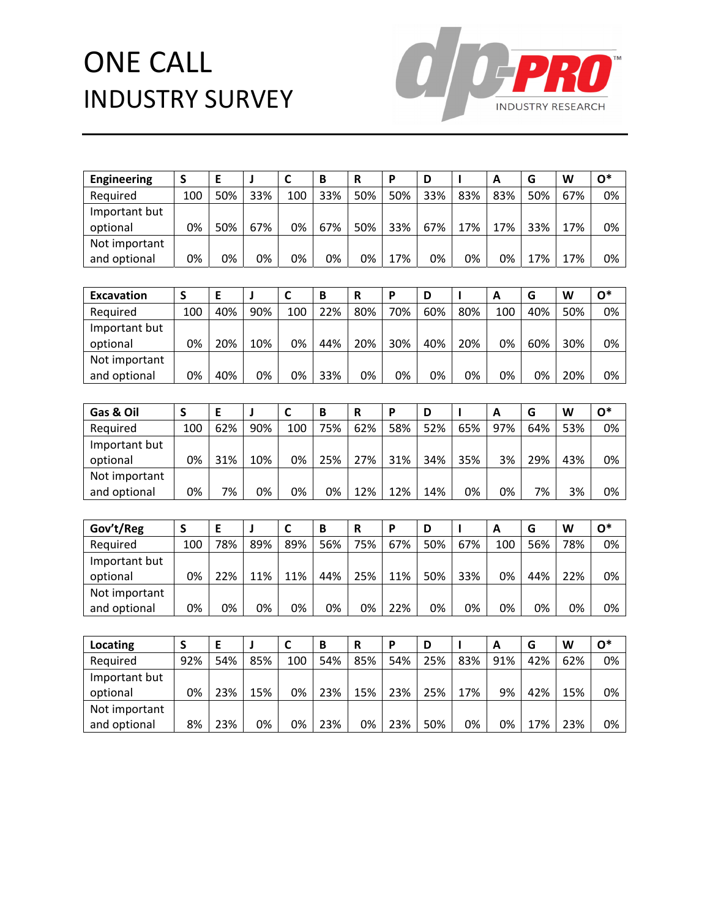

| <b>Engineering</b> |     |     |     | C   | В   | R   | D   | D   |     | А   | G   | W   | Ο* |
|--------------------|-----|-----|-----|-----|-----|-----|-----|-----|-----|-----|-----|-----|----|
| Required           | 100 | 50% | 33% | 100 | 33% | 50% | 50% | 33% | 83% | 83% | 50% | 67% | 0% |
| Important but      |     |     |     |     |     |     |     |     |     |     |     |     |    |
| optional           | 0%  | 50% | 67% | 0%  | 67% | 50% | 33% | 67% | 17% | 17% | 33% | 17% | 0% |
| Not important      |     |     |     |     |     |     |     |     |     |     |     |     |    |
| and optional       | 0%  | 0%  | 0%  | 0%  | 0%  | 0%  | 17% | 0%  | 0%  | 0%  | 17% | 17% | 0% |

| <b>Excavation</b> |     | Ε   |     |     | В   | R   | Р   |     |     |     | G   | W   | Ο* |
|-------------------|-----|-----|-----|-----|-----|-----|-----|-----|-----|-----|-----|-----|----|
| Required          | 100 | 40% | 90% | 100 | 22% | 80% | 70% | 60% | 80% | 100 | 40% | 50% | 0% |
| Important but     |     |     |     |     |     |     |     |     |     |     |     |     |    |
| optional          | 0%  | 20% | 10% | 0%  | 44% | 20% | 30% | 40% | 20% | 0%  | 60% | 30% | 0% |
| Not important     |     |     |     |     |     |     |     |     |     |     |     |     |    |
| and optional      | 0%  | 40% | 0%  | 0%  | 33% | 0%  | 0%  | 0%  | 0%  | 0%  | 0%  | 20% | 0% |

| Gas & Oil     |     |     |     | C   | B   | R   | P   | D   |     | A   | G   | W   | Ο* |
|---------------|-----|-----|-----|-----|-----|-----|-----|-----|-----|-----|-----|-----|----|
| Required      | 100 | 62% | 90% | 100 | 75% | 62% | 58% | 52% | 65% | 97% | 64% | 53% | 0% |
| Important but |     |     |     |     |     |     |     |     |     |     |     |     |    |
| optional      | 0%  | 31% | 10% | 0%  | 25% | 27% | 31% | 34% | 35% | 3%  | 29% | 43% | 0% |
| Not important |     |     |     |     |     |     |     |     |     |     |     |     |    |
| and optional  | 0%  | 7%  | 0%  | 0%  | 0%  | 12% | 12% | 14% | 0%  | 0%  | 7%  | 3%  | 0% |

| Gov't/Reg     |     | Е   |     | ∼   | B   | R   | Р   | D   |     | A   | G   | W   | 0* |
|---------------|-----|-----|-----|-----|-----|-----|-----|-----|-----|-----|-----|-----|----|
| Required      | 100 | 78% | 89% | 89% | 56% | 75% | 67% | 50% | 67% | 100 | 56% | 78% | 0% |
| Important but |     |     |     |     |     |     |     |     |     |     |     |     |    |
| optional      | 0%  | 22% | 11% | 11% | 44% | 25% | 11% | 50% | 33% | 0%  | 44% | 22% | 0% |
| Not important |     |     |     |     |     |     |     |     |     |     |     |     |    |
| and optional  | 0%  | 0%  | 0%  | 0%  | 0%  | 0%  | 22% | 0%  | 0%  | 0%  | 0%  | 0%  | 0% |

| Locating      | э   |     |     | C   | B   | R   | P   | D   |     | A   | G   | W   | Ο* |
|---------------|-----|-----|-----|-----|-----|-----|-----|-----|-----|-----|-----|-----|----|
| Required      | 92% | 54% | 85% | 100 | 54% | 85% | 54% | 25% | 83% | 91% | 42% | 62% | 0% |
| Important but |     |     |     |     |     |     |     |     |     |     |     |     |    |
| optional      | 0%  | 23% | 15% | 0%  | 23% | 15% | 23% | 25% | 17% | 9%  | 42% | 15% | 0% |
| Not important |     |     |     |     |     |     |     |     |     |     |     |     |    |
| and optional  | 8%  | 23% | 0%  | 0%  | 23% | 0%  | 23% | 50% | 0%  | 0%  | 17% | 23% | 0% |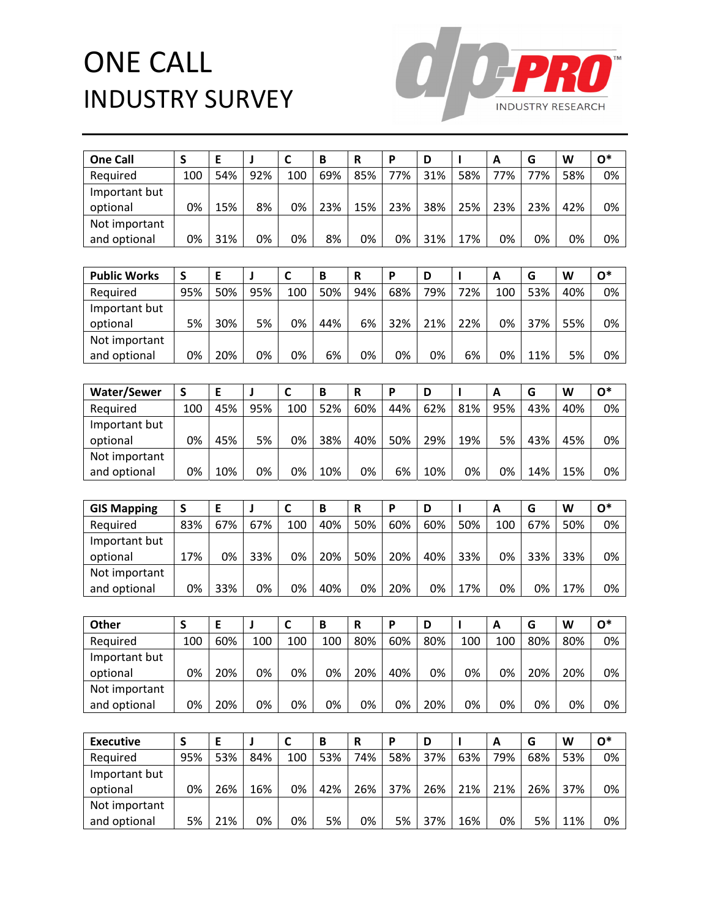

| <b>One Call</b> |     | Е   |     |     | B   | R   | Ρ   | D   |     | A   | G   | W   | Ο* |
|-----------------|-----|-----|-----|-----|-----|-----|-----|-----|-----|-----|-----|-----|----|
| Required        | 100 | 54% | 92% | 100 | 69% | 85% | 77% | 31% | 58% | 77% | 77% | 58% | 0% |
| Important but   |     |     |     |     |     |     |     |     |     |     |     |     |    |
| optional        | 0%  | 15% | 8%  | 0%  | 23% | 15% | 23% | 38% | 25% | 23% | 23% | 42% | 0% |
| Not important   |     |     |     |     |     |     |     |     |     |     |     |     |    |
| and optional    | 0%  | 31% | 0%  | 0%  | 8%  | 0%  | 0%  | 31% | 17% | 0%  | 0%  | 0%  | 0% |

| <b>Public Works</b> |     |     |     | ⊾   | В   | R   | Р   | D   |     | A   | G   | W   | Ο* |
|---------------------|-----|-----|-----|-----|-----|-----|-----|-----|-----|-----|-----|-----|----|
| Required            | 95% | 50% | 95% | 100 | 50% | 94% | 68% | 79% | 72% | 100 | 53% | 40% | 0% |
| Important but       |     |     |     |     |     |     |     |     |     |     |     |     |    |
| optional            | 5%  | 30% | 5%  | 0%  | 44% | 6%  | 32% | 21% | 22% | 0%  | 37% | 55% | 0% |
| Not important       |     |     |     |     |     |     |     |     |     |     |     |     |    |
| and optional        | 0%  | 20% | 0%  | 0%  | 6%  | 0%  | 0%  | 0%  | 6%  | 0%  | 11% | 5%  | 0% |

| <b>Water/Sewer</b> |     | Е   |     |     | В   | R   | P   | D   |     | A   | G   | W   | $O^*$ |
|--------------------|-----|-----|-----|-----|-----|-----|-----|-----|-----|-----|-----|-----|-------|
| Required           | 100 | 45% | 95% | 100 | 52% | 60% | 44% | 62% | 81% | 95% | 43% | 40% | 0%    |
| Important but      |     |     |     |     |     |     |     |     |     |     |     |     |       |
| optional           | 0%  | 45% | 5%  | 0%  | 38% | 40% | 50% | 29% | 19% | 5%  | 43% | 45% | 0%    |
| Not important      |     |     |     |     |     |     |     |     |     |     |     |     |       |
| and optional       | 0%  | 10% | 0%  | 0%  | 10% | 0%  | 6%  | 10% | 0%  | 0%  | 14% | 15% | 0%    |

| <b>GIS Mapping</b> |     |     |     | ∼   | В   | R   | P   | D   |     | А   | G   | W   | Ο* |
|--------------------|-----|-----|-----|-----|-----|-----|-----|-----|-----|-----|-----|-----|----|
| Reguired           | 83% | 67% | 67% | 100 | 40% | 50% | 60% | 60% | 50% | 100 | 67% | 50% | 0% |
| Important but      |     |     |     |     |     |     |     |     |     |     |     |     |    |
| optional           | 17% | 0%  | 33% | 0%  | 20% | 50% | 20% | 40% | 33% | 0%  | 33% | 33% | 0% |
| Not important      |     |     |     |     |     |     |     |     |     |     |     |     |    |
| and optional       | 0%  | 33% | 0%  | 0%  | 40% | 0%  | 20% | 0%  | 17% | 0%  | 0%  | 17% | 0% |

| <b>Other</b>  |     |     |     | C   | B   | R   | P   | D   |     | A   | G   | W   | Ο* |
|---------------|-----|-----|-----|-----|-----|-----|-----|-----|-----|-----|-----|-----|----|
| Required      | 100 | 60% | 100 | 100 | 100 | 80% | 60% | 80% | 100 | 100 | 80% | 80% | 0% |
| Important but |     |     |     |     |     |     |     |     |     |     |     |     |    |
| optional      | 0%  | 20% | 0%  | 0%  | 0%  | 20% | 40% | 0%  | 0%  | 0%  | 20% | 20% | 0% |
| Not important |     |     |     |     |     |     |     |     |     |     |     |     |    |
| and optional  | 0%  | 20% | 0%  | 0%  | 0%  | 0%  | 0%  | 20% | 0%  | 0%  | 0%  | 0%  | 0% |

| <b>Executive</b> |     |     |     |     | B   | R   | P   | D   |     | A   | G   | W   | Ο* |
|------------------|-----|-----|-----|-----|-----|-----|-----|-----|-----|-----|-----|-----|----|
| Required         | 95% | 53% | 84% | 100 | 53% | 74% | 58% | 37% | 63% | 79% | 68% | 53% | 0% |
| Important but    |     |     |     |     |     |     |     |     |     |     |     |     |    |
| optional         | 0%  | 26% | 16% | 0%  | 42% | 26% | 37% | 26% | 21% | 21% | 26% | 37% | 0% |
| Not important    |     |     |     |     |     |     |     |     |     |     |     |     |    |
| and optional     | 5%  | 21% | 0%  | 0%  | 5%  | 0%  | 5%  | 37% | 16% | 0%  | 5%  | 11% | 0% |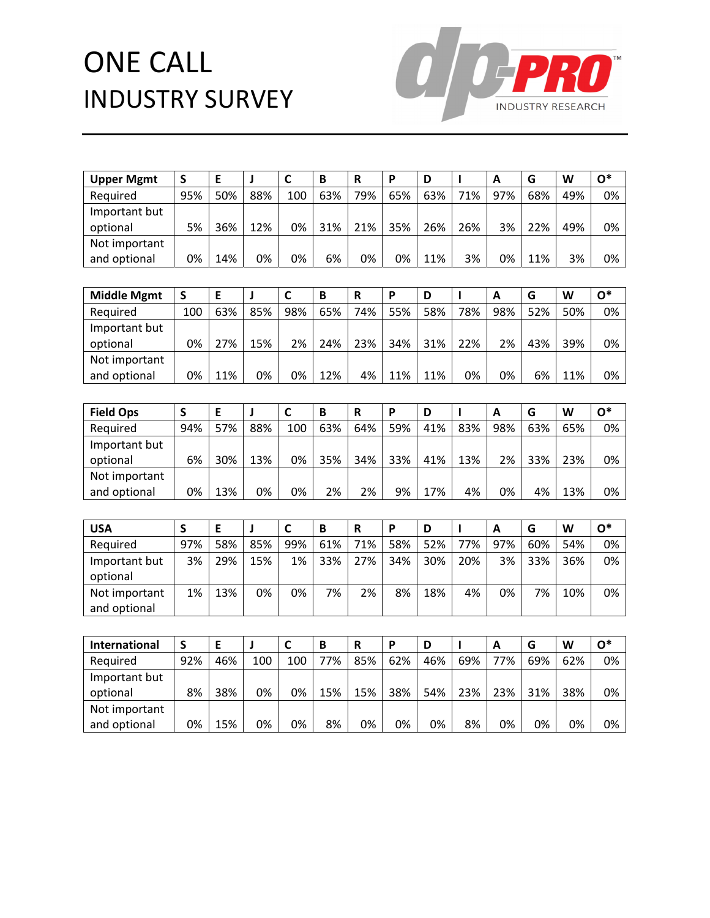

| <b>Upper Mgmt</b> | S   |     |     |     | в   | R   | D   | D   |     | А   | G   | W   | Ο* |
|-------------------|-----|-----|-----|-----|-----|-----|-----|-----|-----|-----|-----|-----|----|
| Required          | 95% | 50% | 88% | 100 | 63% | 79% | 65% | 63% | 71% | 97% | 68% | 49% | 0% |
| Important but     |     |     |     |     |     |     |     |     |     |     |     |     |    |
| optional          | 5%  | 36% | 12% | 0%  | 31% | 21% | 35% | 26% | 26% | 3%  | 22% | 49% | 0% |
| Not important     |     |     |     |     |     |     |     |     |     |     |     |     |    |
| and optional      | 0%  | 14% | 0%  | 0%  | 6%  | 0%  | 0%  | 11% | 3%  | 0%  | 11% | 3%  | 0% |

| <b>Middle Mgmt</b> |     |     |     |     | В   | R   | Р   |     |     |     | G   | W   | Ο* |
|--------------------|-----|-----|-----|-----|-----|-----|-----|-----|-----|-----|-----|-----|----|
| Reguired           | 100 | 63% | 85% | 98% | 65% | 74% | 55% | 58% | 78% | 98% | 52% | 50% | 0% |
| Important but      |     |     |     |     |     |     |     |     |     |     |     |     |    |
| optional           | 0%  | 27% | 15% | 2%  | 24% | 23% | 34% | 31% | 22% | 2%  | 43% | 39% | 0% |
| Not important      |     |     |     |     |     |     |     |     |     |     |     |     |    |
| and optional       | 0%  | 11% | 0%  | 0%  | 12% | 4%  | 11% | 11% | 0%  | 0%  | 6%  | 11% | 0% |

| <b>Field Ops</b> |     |     |     | C   | B   | R   | P   | D   |     | A   | G   | W   | Ο* |
|------------------|-----|-----|-----|-----|-----|-----|-----|-----|-----|-----|-----|-----|----|
| Required         | 94% | 57% | 88% | 100 | 63% | 64% | 59% | 41% | 83% | 98% | 63% | 65% | 0% |
| Important but    |     |     |     |     |     |     |     |     |     |     |     |     |    |
| optional         | 6%  | 30% | 13% | 0%  | 35% | 34% | 33% | 41% | 13% | 2%  | 33% | 23% | 0% |
| Not important    |     |     |     |     |     |     |     |     |     |     |     |     |    |
| and optional     | 0%  | 13% | 0%  | 0%  | 2%  | 2%  | 9%  | 17% | 4%  | 0%  | 4%  | 13% | 0% |

| <b>USA</b>    |     |     |     |     | B   | R   | P   | D   |     | A   | G   | W   | 0* |
|---------------|-----|-----|-----|-----|-----|-----|-----|-----|-----|-----|-----|-----|----|
| Required      | 97% | 58% | 85% | 99% | 61% | 71% | 58% | 52% | 77% | 97% | 60% | 54% | 0% |
| Important but | 3%  | 29% | 15% | 1%  | 33% | 27% | 34% | 30% | 20% | 3%  | 33% | 36% | 0% |
| optional      |     |     |     |     |     |     |     |     |     |     |     |     |    |
| Not important | 1%  | 13% | 0%  | 0%  | 7%  | 2%  | 8%  | 18% | 4%  | 0%  | 7%  | 10% | 0% |
| and optional  |     |     |     |     |     |     |     |     |     |     |     |     |    |

| <b>International</b> |     | Е   |     |     | в   | R   | Р   |     |     | A   | G   | W   | O* |
|----------------------|-----|-----|-----|-----|-----|-----|-----|-----|-----|-----|-----|-----|----|
| Required             | 92% | 46% | 100 | 100 | 77% | 85% | 62% | 46% | 69% | 77% | 69% | 62% | 0% |
| Important but        |     |     |     |     |     |     |     |     |     |     |     |     |    |
| optional             | 8%  | 38% | 0%  | 0%  | 15% | 15% | 38% | 54% | 23% | 23% | 31% | 38% | 0% |
| Not important        |     |     |     |     |     |     |     |     |     |     |     |     |    |
| and optional         | 0%  | .5% | 0%  | 0%  | 8%  | 0%  | 0%  | 0%  | 8%  | 0%  | 0%  | 0%  | 0% |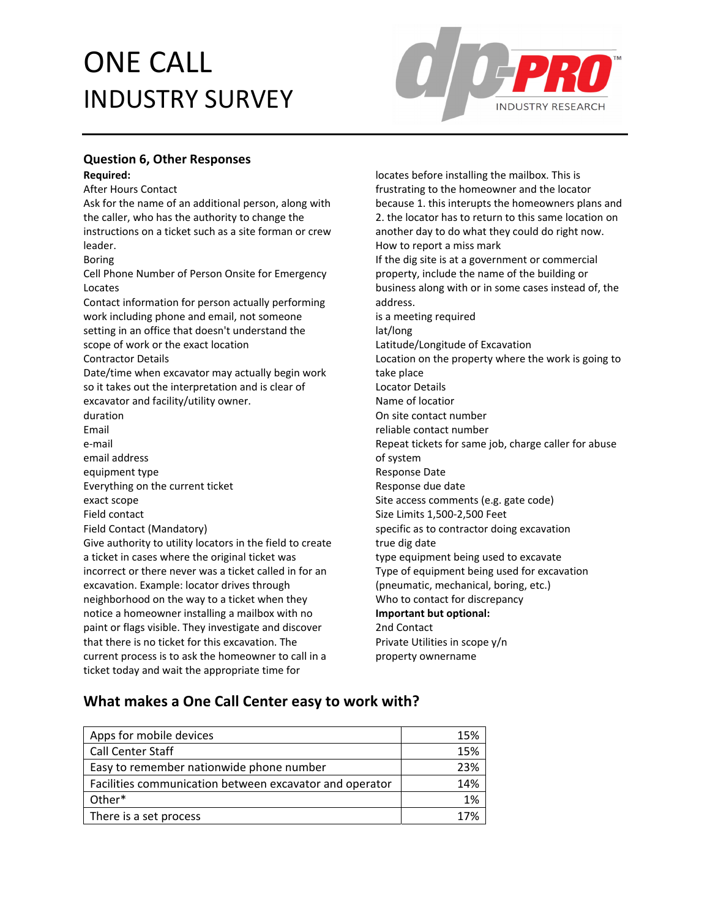

### **Question 6, Other Responses**

**Required:** After Hours Contact Ask for the name of an additional person, along with the caller, who has the authority to change the instructions on a ticket such as a site forman or crew leader.

Boring

Cell Phone Number of Person Onsite for Emergency Locates

Contact information for person actually performing work including phone and email, not someone setting in an office that doesn't understand the scope of work or the exact location Contractor Details

Date/time when excavator may actually begin work so it takes out the interpretation and is clear of excavator and facility/utility owner.

duration Email e‐mail email address equipment type Everything on the current ticket exact scope Field contact Field Contact (Mandatory) Give authority to utility locators in the field to create

a ticket in cases where the original ticket was incorrect or there never was a ticket called in for an excavation. Example: locator drives through neighborhood on the way to a ticket when they notice a homeowner installing a mailbox with no paint or flags visible. They investigate and discover that there is no ticket for this excavation. The current process is to ask the homeowner to call in a ticket today and wait the appropriate time for

locates before installing the mailbox. This is frustrating to the homeowner and the locator because 1. this interupts the homeowners plans and 2. the locator has to return to this same location on another day to do what they could do right now. How to report a miss mark If the dig site is at a government or commercial property, include the name of the building or business along with or in some cases instead of, the address. is a meeting required lat/long Latitude/Longitude of Excavation Location on the property where the work is going to take place Locator Details Name of locatior On site contact number reliable contact number Repeat tickets for same job, charge caller for abuse of system Response Date Response due date Site access comments (e.g. gate code) Size Limits 1,500‐2,500 Feet specific as to contractor doing excavation true dig date type equipment being used to excavate Type of equipment being used for excavation (pneumatic, mechanical, boring, etc.) Who to contact for discrepancy **Important but optional:** 2nd Contact Private Utilities in scope y/n

property ownername

### **What makes a One Call Center easy to work with?**

| Apps for mobile devices                                 | 15% |
|---------------------------------------------------------|-----|
| <b>Call Center Staff</b>                                | 15% |
| Easy to remember nationwide phone number                | 23% |
| Facilities communication between excavator and operator | 14% |
| Other*                                                  | 1%  |
| There is a set process                                  | 17% |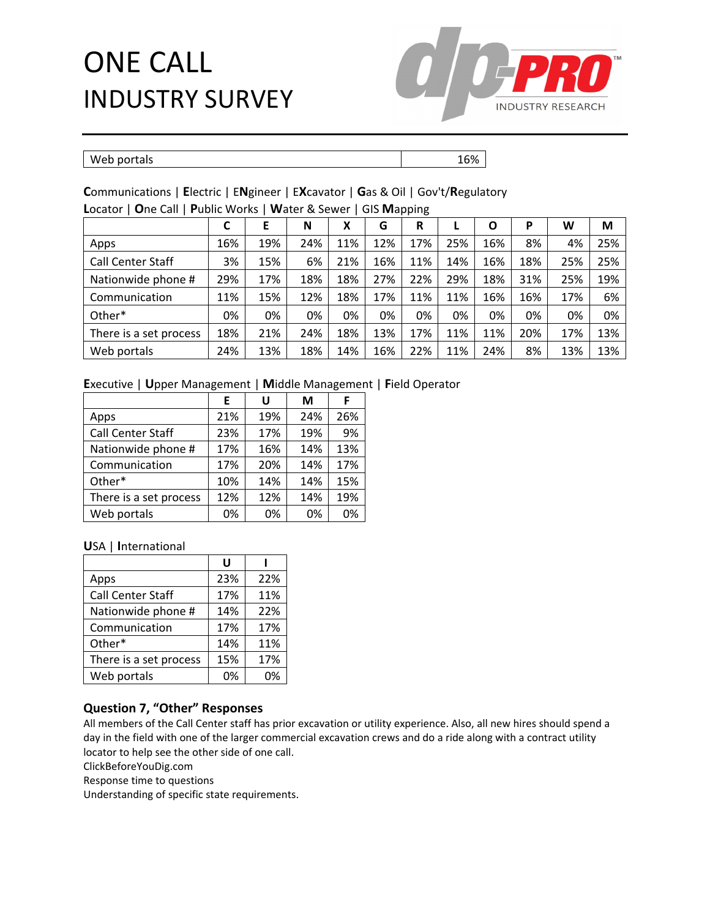

#### Web portals 16%

#### **C**ommunications | **E**lectric | E**N**gineer | E**X**cavator | **G**as & Oil | Gov't/**R**egulatory **L**ocator | **O**ne Call | **P**ublic Works | **W**ater & Sewer | GIS **M**apping

|                          |     | Е   | N   | χ   | G   | R   |     | Ο   | D   | W   | М   |
|--------------------------|-----|-----|-----|-----|-----|-----|-----|-----|-----|-----|-----|
| Apps                     | 16% | 19% | 24% | 11% | 12% | 17% | 25% | 16% | 8%  | 4%  | 25% |
| <b>Call Center Staff</b> | 3%  | 15% | 6%  | 21% | 16% | 11% | 14% | 16% | 18% | 25% | 25% |
| Nationwide phone #       | 29% | 17% | 18% | 18% | 27% | 22% | 29% | 18% | 31% | 25% | 19% |
| Communication            | 11% | 15% | 12% | 18% | 17% | 11% | 11% | 16% | 16% | 17% | 6%  |
| Other*                   | 0%  | 0%  | 0%  | 0%  | 0%  | 0%  | 0%  | 0%  | 0%  | 0%  | 0%  |
| There is a set process   | 18% | 21% | 24% | 18% | 13% | 17% | 11% | 11% | 20% | 17% | 13% |
| Web portals              | 24% | 13% | 18% | 14% | 16% | 22% | 11% | 24% | 8%  | 13% | 13% |

### **E**xecutive | **U**pper Management | **M**iddle Management | **F**ield Operator

|                        | Е   | U   | м   | F   |
|------------------------|-----|-----|-----|-----|
| Apps                   | 21% | 19% | 24% | 26% |
| Call Center Staff      | 23% | 17% | 19% | 9%  |
| Nationwide phone #     | 17% | 16% | 14% | 13% |
| Communication          | 17% | 20% | 14% | 17% |
| Other*                 | 10% | 14% | 14% | 15% |
| There is a set process | 12% | 12% | 14% | 19% |
| Web portals            | 0%  | 0%  | 0%  | 0%  |

### **U**SA | **I**nternational

|                          | U   |     |
|--------------------------|-----|-----|
| Apps                     | 23% | 22% |
| <b>Call Center Staff</b> | 17% | 11% |
| Nationwide phone #       | 14% | 22% |
| Communication            | 17% | 17% |
| Other*                   | 14% | 11% |
| There is a set process   | 15% | 17% |
| Web portals              | 0%  | 0%  |

### **Question 7, "Other" Responses**

All members of the Call Center staff has prior excavation or utility experience. Also, all new hires should spend a day in the field with one of the larger commercial excavation crews and do a ride along with a contract utility locator to help see the other side of one call.

ClickBeforeYouDig.com

Response time to questions

Understanding of specific state requirements.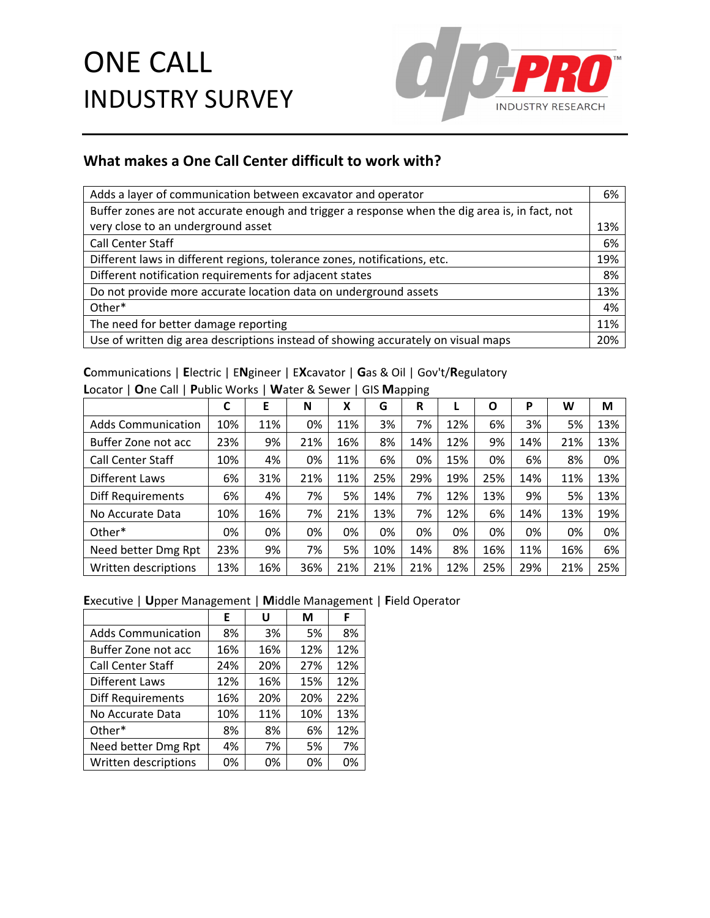

### **What makes a One Call Center difficult to work with?**

| Adds a layer of communication between excavator and operator                                   | 6%  |
|------------------------------------------------------------------------------------------------|-----|
| Buffer zones are not accurate enough and trigger a response when the dig area is, in fact, not |     |
| very close to an underground asset                                                             | 13% |
| <b>Call Center Staff</b>                                                                       | 6%  |
| Different laws in different regions, tolerance zones, notifications, etc.                      | 19% |
| Different notification requirements for adjacent states                                        | 8%  |
| Do not provide more accurate location data on underground assets                               | 13% |
| Other*                                                                                         | 4%  |
| The need for better damage reporting                                                           | 11% |
| Use of written dig area descriptions instead of showing accurately on visual maps              | 20% |

### **C**ommunications | **E**lectric | E**N**gineer | E**X**cavator | **G**as & Oil | Gov't/**R**egulatory

|                           |     | Е   | N   | χ   | G   | R   |     | O   | Р   | W   | M   |
|---------------------------|-----|-----|-----|-----|-----|-----|-----|-----|-----|-----|-----|
| <b>Adds Communication</b> | 10% | 11% | 0%  | 11% | 3%  | 7%  | 12% | 6%  | 3%  | 5%  | 13% |
| Buffer Zone not acc       | 23% | 9%  | 21% | 16% | 8%  | 14% | 12% | 9%  | 14% | 21% | 13% |
| Call Center Staff         | 10% | 4%  | 0%  | 11% | 6%  | 0%  | 15% | 0%  | 6%  | 8%  | 0%  |
| Different Laws            | 6%  | 31% | 21% | 11% | 25% | 29% | 19% | 25% | 14% | 11% | 13% |
| Diff Requirements         | 6%  | 4%  | 7%  | 5%  | 14% | 7%  | 12% | 13% | 9%  | 5%  | 13% |
| No Accurate Data          | 10% | 16% | 7%  | 21% | 13% | 7%  | 12% | 6%  | 14% | 13% | 19% |
| Other*                    | 0%  | 0%  | 0%  | 0%  | 0%  | 0%  | 0%  | 0%  | 0%  | 0%  | 0%  |
| Need better Dmg Rpt       | 23% | 9%  | 7%  | 5%  | 10% | 14% | 8%  | 16% | 11% | 16% | 6%  |
| Written descriptions      | 13% | 16% | 36% | 21% | 21% | 21% | 12% | 25% | 29% | 21% | 25% |

**L**ocator | **O**ne Call | **P**ublic Works | **W**ater & Sewer | GIS **M**apping

### **E**xecutive | **U**pper Management | **M**iddle Management | **F**ield Operator

|                           | E   | U   | М   | F   |
|---------------------------|-----|-----|-----|-----|
| <b>Adds Communication</b> | 8%  | 3%  | 5%  | 8%  |
| Buffer Zone not acc       | 16% | 16% | 12% | 12% |
| Call Center Staff         | 24% | 20% | 27% | 12% |
| <b>Different Laws</b>     | 12% | 16% | 15% | 12% |
| <b>Diff Requirements</b>  | 16% | 20% | 20% | 22% |
| No Accurate Data          | 10% | 11% | 10% | 13% |
| Other*                    | 8%  | 8%  | 6%  | 12% |
| Need better Dmg Rpt       | 4%  | 7%  | 5%  | 7%  |
| Written descriptions      | 0%  | 0%  | 0%  | 0%  |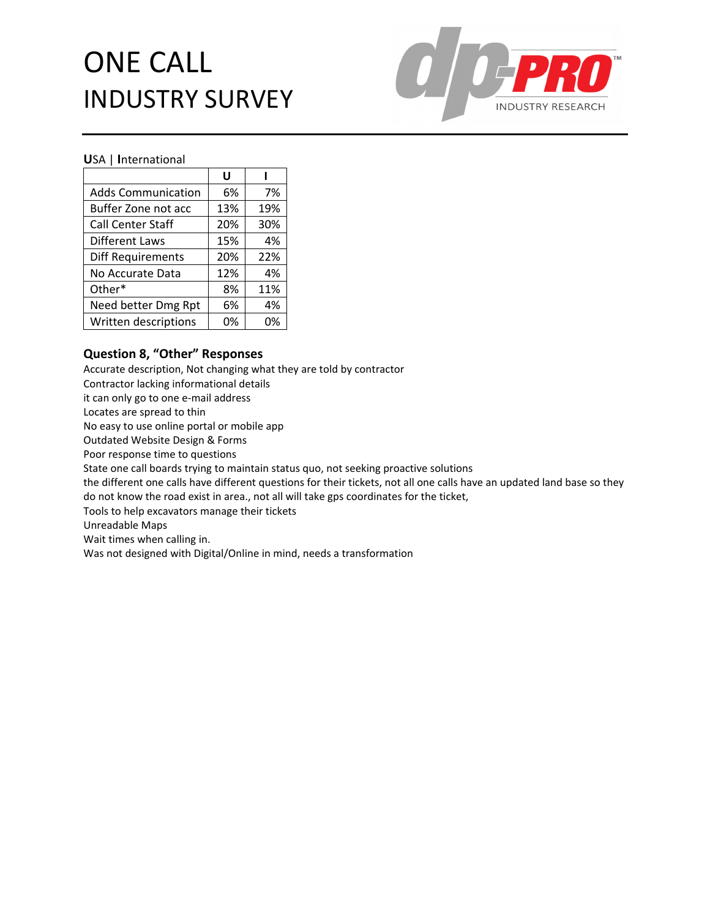

#### **U**SA | **I**nternational

|                           | U   |     |
|---------------------------|-----|-----|
| <b>Adds Communication</b> | 6%  | 7%  |
| Buffer Zone not acc       | 13% | 19% |
| Call Center Staff         | 20% | 30% |
| <b>Different Laws</b>     | 15% | 4%  |
| <b>Diff Requirements</b>  | 20% | 22% |
| No Accurate Data          | 12% | 4%  |
| Other*                    | 8%  | 11% |
| Need better Dmg Rpt       | 6%  | 4%  |
| Written descriptions      | 0%  | 0%  |

#### **Question 8, "Other" Responses**

Accurate description, Not changing what they are told by contractor

Contractor lacking informational details

it can only go to one e‐mail address

Locates are spread to thin

No easy to use online portal or mobile app

Outdated Website Design & Forms

Poor response time to questions

State one call boards trying to maintain status quo, not seeking proactive solutions

the different one calls have different questions for their tickets, not all one calls have an updated land base so they do not know the road exist in area., not all will take gps coordinates for the ticket,

Tools to help excavators manage their tickets

Unreadable Maps

Wait times when calling in.

Was not designed with Digital/Online in mind, needs a transformation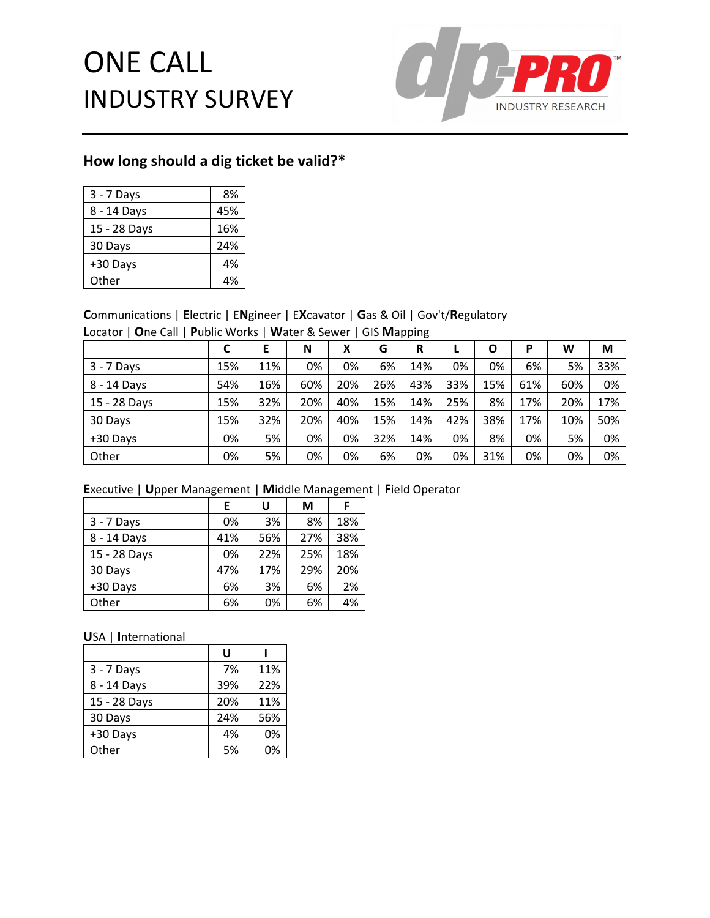

### **How long should a dig ticket be valid?\***

| $3 - 7$ Days | 8%  |
|--------------|-----|
| 8 - 14 Days  | 45% |
| 15 - 28 Days | 16% |
| 30 Days      | 24% |
| +30 Days     | 4%  |
| Other        |     |

### **C**ommunications | **E**lectric | E**N**gineer | E**X**cavator | **G**as & Oil | Gov't/**R**egulatory

**L**ocator | **O**ne Call | **P**ublic Works | **W**ater & Sewer | GIS **M**apping

|              | C   | Е   | N   | χ   | G   | R   |     | O   | Þ   | W   | M   |
|--------------|-----|-----|-----|-----|-----|-----|-----|-----|-----|-----|-----|
| $3 - 7$ Days | 15% | 11% | 0%  | 0%  | 6%  | 14% | 0%  | 0%  | 6%  | 5%  | 33% |
| 8 - 14 Days  | 54% | 16% | 60% | 20% | 26% | 43% | 33% | 15% | 61% | 60% | 0%  |
| 15 - 28 Days | 15% | 32% | 20% | 40% | 15% | 14% | 25% | 8%  | 17% | 20% | 17% |
| 30 Days      | 15% | 32% | 20% | 40% | 15% | 14% | 42% | 38% | 17% | 10% | 50% |
| +30 Days     | 0%  | 5%  | 0%  | 0%  | 32% | 14% | 0%  | 8%  | 0%  | 5%  | 0%  |
| Other        | 0%  | 5%  | 0%  | 0%  | 6%  | 0%  | 0%  | 31% | 0%  | 0%  | 0%  |

### **E**xecutive | **U**pper Management | **M**iddle Management | **F**ield Operator

|              | E   | U   | М   | F   |
|--------------|-----|-----|-----|-----|
| 3 - 7 Days   | 0%  | 3%  | 8%  | 18% |
| 8 - 14 Days  | 41% | 56% | 27% | 38% |
| 15 - 28 Days | 0%  | 22% | 25% | 18% |
| 30 Days      | 47% | 17% | 29% | 20% |
| +30 Days     | 6%  | 3%  | 6%  | 2%  |
| Other        | 6%  | 0%  | 6%  | 4%  |

### **U**SA | **I**nternational

|              | U   |     |
|--------------|-----|-----|
| $3 - 7$ Days | 7%  | 11% |
| 8 - 14 Days  | 39% | 22% |
| 15 - 28 Days | 20% | 11% |
| 30 Days      | 24% | 56% |
| +30 Days     | 4%  | 0%  |
| Other        | 5%  | 0%  |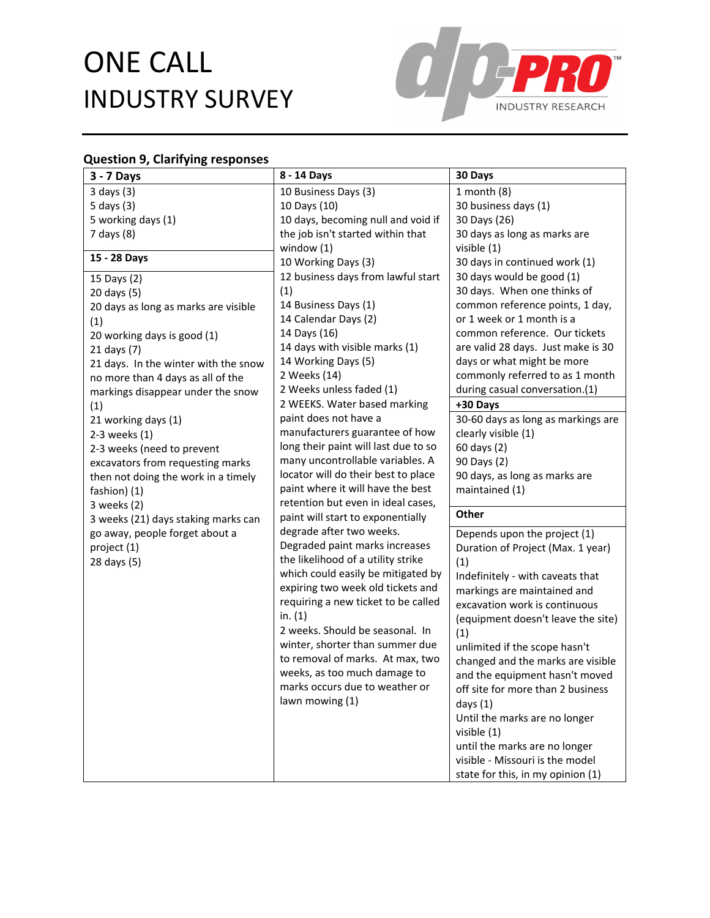

### **Question 9, Clarifying responses**

| 3 - 7 Days                           | 8 - 14 Days                          | 30 Days                            |
|--------------------------------------|--------------------------------------|------------------------------------|
| $3$ days $(3)$                       | 10 Business Days (3)                 | $1$ month $(8)$                    |
| 5 days (3)                           | 10 Days (10)                         | 30 business days (1)               |
| 5 working days (1)                   | 10 days, becoming null and void if   | 30 Days (26)                       |
| 7 days (8)                           | the job isn't started within that    | 30 days as long as marks are       |
|                                      | window $(1)$                         | visible (1)                        |
| 15 - 28 Days                         | 10 Working Days (3)                  | 30 days in continued work (1)      |
| 15 Days (2)                          | 12 business days from lawful start   | 30 days would be good (1)          |
| 20 days (5)                          | (1)                                  | 30 days. When one thinks of        |
| 20 days as long as marks are visible | 14 Business Days (1)                 | common reference points, 1 day,    |
| (1)                                  | 14 Calendar Days (2)                 | or 1 week or 1 month is a          |
| 20 working days is good (1)          | 14 Days (16)                         | common reference. Our tickets      |
| 21 days (7)                          | 14 days with visible marks (1)       | are valid 28 days. Just make is 30 |
| 21 days. In the winter with the snow | 14 Working Days (5)                  | days or what might be more         |
| no more than 4 days as all of the    | 2 Weeks (14)                         | commonly referred to as 1 month    |
| markings disappear under the snow    | 2 Weeks unless faded (1)             | during casual conversation.(1)     |
| (1)                                  | 2 WEEKS. Water based marking         | +30 Days                           |
| 21 working days (1)                  | paint does not have a                | 30-60 days as long as markings are |
| 2-3 weeks (1)                        | manufacturers guarantee of how       | clearly visible (1)                |
| 2-3 weeks (need to prevent           | long their paint will last due to so | 60 days (2)                        |
| excavators from requesting marks     | many uncontrollable variables. A     | 90 Days (2)                        |
| then not doing the work in a timely  | locator will do their best to place  | 90 days, as long as marks are      |
| fashion) (1)                         | paint where it will have the best    | maintained (1)                     |
| 3 weeks (2)                          | retention but even in ideal cases,   |                                    |
| 3 weeks (21) days staking marks can  | paint will start to exponentially    | Other                              |
| go away, people forget about a       | degrade after two weeks.             | Depends upon the project (1)       |
| project (1)                          | Degraded paint marks increases       | Duration of Project (Max. 1 year)  |
| 28 days (5)                          | the likelihood of a utility strike   | (1)                                |
|                                      | which could easily be mitigated by   | Indefinitely - with caveats that   |
|                                      | expiring two week old tickets and    | markings are maintained and        |
|                                      | requiring a new ticket to be called  | excavation work is continuous      |
|                                      | in. $(1)$                            | (equipment doesn't leave the site) |
|                                      | 2 weeks. Should be seasonal. In      | (1)                                |
|                                      | winter, shorter than summer due      | unlimited if the scope hasn't      |
|                                      | to removal of marks. At max, two     | changed and the marks are visible  |
|                                      | weeks, as too much damage to         | and the equipment hasn't moved     |
|                                      | marks occurs due to weather or       | off site for more than 2 business  |
|                                      | lawn mowing (1)                      | days $(1)$                         |
|                                      |                                      | Until the marks are no longer      |
|                                      |                                      | visible (1)                        |
|                                      |                                      | until the marks are no longer      |
|                                      |                                      | visible - Missouri is the model    |
|                                      |                                      | state for this, in my opinion (1)  |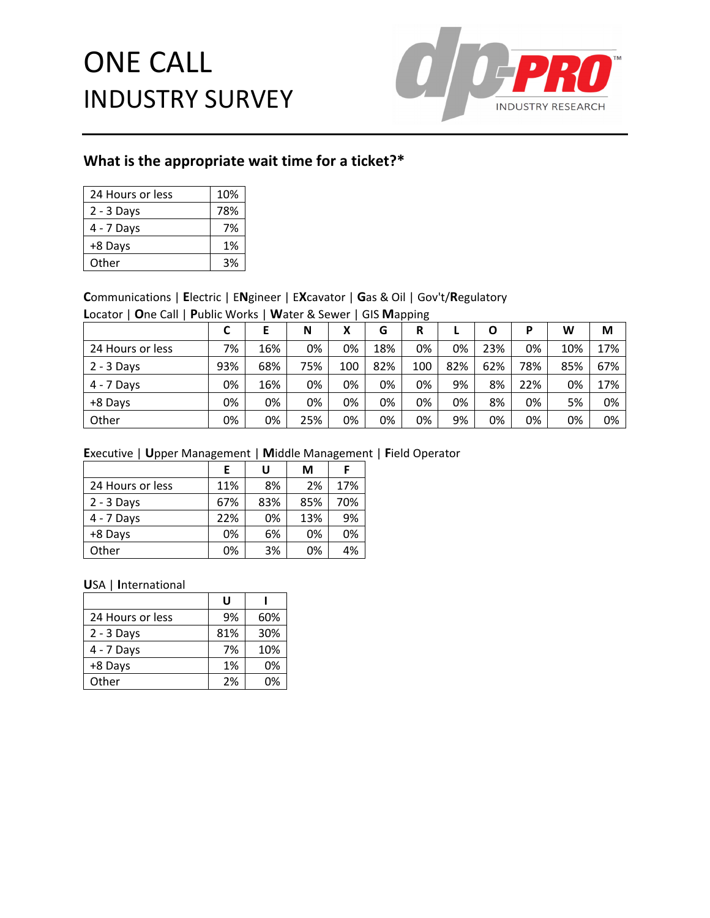

### **What is the appropriate wait time for a ticket?\***

| 24 Hours or less | 10% |
|------------------|-----|
| $2 - 3$ Days     | 78% |
| $4 - 7$ Days     | 7%  |
| +8 Days          | 1%  |
| Other            | 3%  |

**C**ommunications | **E**lectric | E**N**gineer | E**X**cavator | **G**as & Oil | Gov't/**R**egulatory **L**ocator | **O**ne Call | **P**ublic Works | **W**ater & Sewer | GIS **M**apping

|                  | ◡   |     | N   | x   | G   | R   |     | O   | D   | W   | M   |
|------------------|-----|-----|-----|-----|-----|-----|-----|-----|-----|-----|-----|
| 24 Hours or less | 7%  | 16% | 0%  | 0%  | 18% | 0%  | 0%  | 23% | 0%  | 10% | 17% |
| $2 - 3$ Days     | 93% | 68% | 75% | 100 | 82% | 100 | 82% | 62% | 78% | 85% | 67% |
| $4 - 7$ Days     | 0%  | 16% | 0%  | 0%  | 0%  | 0%  | 9%  | 8%  | 22% | 0%  | 17% |
| +8 Days          | 0%  | 0%  | 0%  | 0%  | 0%  | 0%  | 0%  | 8%  | 0%  | 5%  | 0%  |
| Other            | 0%  | 0%  | 25% | 0%  | 0%  | 0%  | 9%  | 0%  | 0%  | 0%  | 0%  |

### **E**xecutive | **U**pper Management | **M**iddle Management | **F**ield Operator

|                  | E   | U   | М   | F   |
|------------------|-----|-----|-----|-----|
| 24 Hours or less | 11% | 8%  | 2%  | 17% |
| $2 - 3$ Days     | 67% | 83% | 85% | 70% |
| $4 - 7$ Days     | 22% | 0%  | 13% | 9%  |
| +8 Days          | 0%  | 6%  | 0%  | 0%  |
| Other            | 0%  | 3%  | 0%  | 4%  |

**U**SA | **I**nternational

|                  | U   |     |
|------------------|-----|-----|
| 24 Hours or less | 9%  | 60% |
| $2 - 3$ Days     | 81% | 30% |
| $4 - 7$ Days     | 7%  | 10% |
| +8 Days          | 1%  | 0%  |
| Other            | 2%  | 0%  |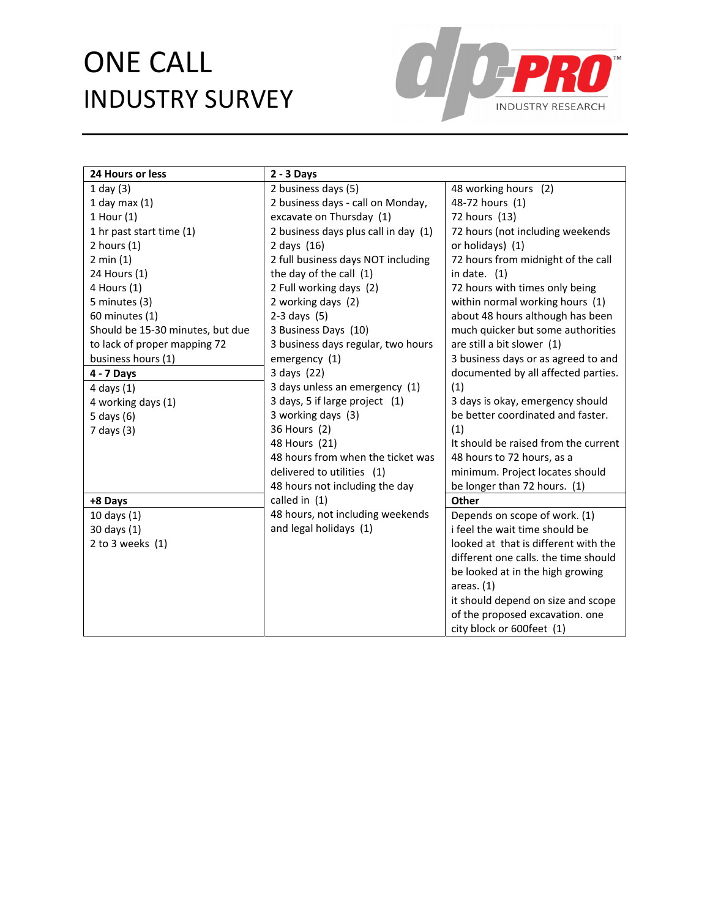

| 24 Hours or less                 | $2 - 3$ Days                         |                                      |
|----------------------------------|--------------------------------------|--------------------------------------|
| $1$ day $(3)$                    | 2 business days (5)                  | 48 working hours (2)                 |
| $1$ day max $(1)$                | 2 business days - call on Monday,    | 48-72 hours (1)                      |
| 1 Hour (1)                       | excavate on Thursday (1)             | 72 hours (13)                        |
| 1 hr past start time (1)         | 2 business days plus call in day (1) | 72 hours (not including weekends     |
| 2 hours $(1)$                    | 2 days (16)                          | or holidays) (1)                     |
| 2 min(1)                         | 2 full business days NOT including   | 72 hours from midnight of the call   |
| 24 Hours (1)                     | the day of the call (1)              | in date. $(1)$                       |
| 4 Hours (1)                      | 2 Full working days (2)              | 72 hours with times only being       |
| 5 minutes (3)                    | 2 working days (2)                   | within normal working hours (1)      |
| 60 minutes (1)                   | $2-3$ days $(5)$                     | about 48 hours although has been     |
| Should be 15-30 minutes, but due | 3 Business Days (10)                 | much quicker but some authorities    |
| to lack of proper mapping 72     | 3 business days regular, two hours   | are still a bit slower (1)           |
| business hours (1)               | emergency (1)                        | 3 business days or as agreed to and  |
| 4 - 7 Days                       | 3 days (22)                          | documented by all affected parties.  |
| $4$ days $(1)$                   | 3 days unless an emergency (1)       | (1)                                  |
| 4 working days (1)               | 3 days, 5 if large project (1)       | 3 days is okay, emergency should     |
| 5 days (6)                       | 3 working days (3)                   | be better coordinated and faster.    |
| 7 days (3)                       | 36 Hours (2)                         | (1)                                  |
|                                  | 48 Hours (21)                        | It should be raised from the current |
|                                  | 48 hours from when the ticket was    | 48 hours to 72 hours, as a           |
|                                  | delivered to utilities (1)           | minimum. Project locates should      |
|                                  | 48 hours not including the day       | be longer than 72 hours. (1)         |
| +8 Days                          | called in (1)                        | Other                                |
| 10 days (1)                      | 48 hours, not including weekends     | Depends on scope of work. (1)        |
| 30 days (1)                      | and legal holidays (1)               | i feel the wait time should be       |
| 2 to 3 weeks $(1)$               |                                      | looked at that is different with the |
|                                  |                                      | different one calls. the time should |
|                                  |                                      | be looked at in the high growing     |
|                                  |                                      | areas. $(1)$                         |
|                                  |                                      | it should depend on size and scope   |
|                                  |                                      | of the proposed excavation. one      |
|                                  |                                      | city block or 600feet (1)            |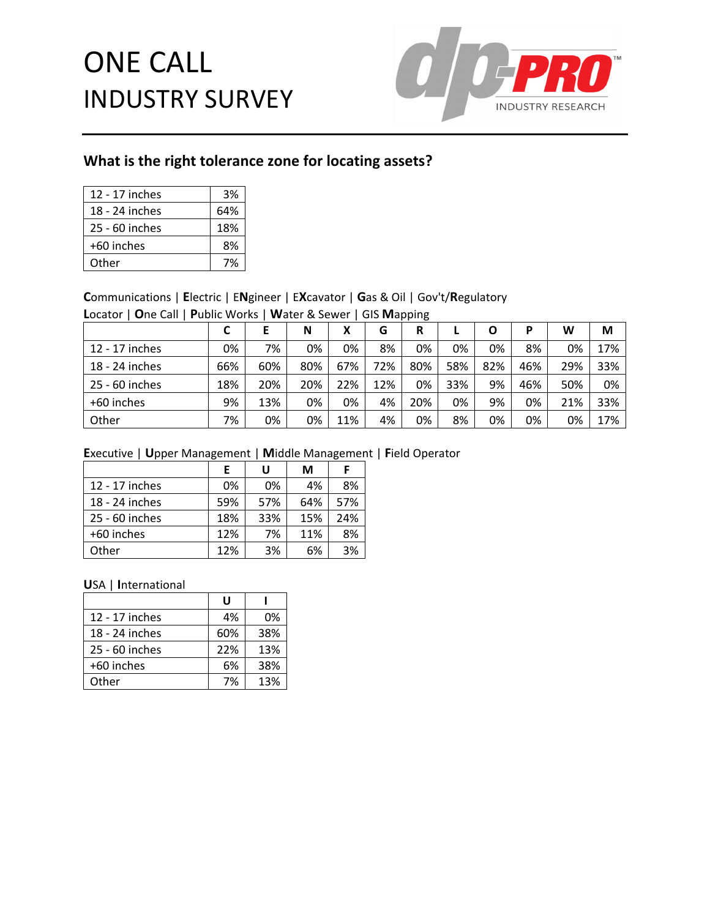

### **What is the right tolerance zone for locating assets?**

| 12 - 17 inches | 3%  |
|----------------|-----|
| 18 - 24 inches | 64% |
| 25 - 60 inches | 18% |
| +60 inches     | 8%  |
| Other          | 7%  |

**C**ommunications | **E**lectric | E**N**gineer | E**X**cavator | **G**as & Oil | Gov't/**R**egulatory **L**ocator | **O**ne Call | **P**ublic Works | **W**ater & Sewer | GIS **M**apping

|                | ⊾   |     | N   | χ   | G   | R   |     | O   |     | W   | M   |
|----------------|-----|-----|-----|-----|-----|-----|-----|-----|-----|-----|-----|
| 12 - 17 inches | 0%  | 7%  | 0%  | 0%  | 8%  | 0%  | 0%  | 0%  | 8%  | 0%  | 17% |
| 18 - 24 inches | 66% | 60% | 80% | 67% | 72% | 80% | 58% | 82% | 46% | 29% | 33% |
| 25 - 60 inches | 18% | 20% | 20% | 22% | 12% | 0%  | 33% | 9%  | 46% | 50% | 0%  |
| +60 inches     | 9%  | 13% | 0%  | 0%  | 4%  | 20% | 0%  | 9%  | 0%  | 21% | 33% |
| Other          | 7%  | 0%  | 0%  | 11% | 4%  | 0%  | 8%  | 0%  | 0%  | 0%  | 17% |

### **E**xecutive | **U**pper Management | **M**iddle Management | **F**ield Operator

|                | Е   | U   | М   | F   |
|----------------|-----|-----|-----|-----|
| 12 - 17 inches | 0%  | 0%  | 4%  | 8%  |
| 18 - 24 inches | 59% | 57% | 64% | 57% |
| 25 - 60 inches | 18% | 33% | 15% | 24% |
| +60 inches     | 12% | 7%  | 11% | 8%  |
| Other          | 12% | 3%  | 6%  | 3%  |

**U**SA | **I**nternational

|                | U   |     |
|----------------|-----|-----|
| 12 - 17 inches | 4%  | 0%  |
| 18 - 24 inches | 60% | 38% |
| 25 - 60 inches | 22% | 13% |
| +60 inches     | 6%  | 38% |
| Other          | 7%  | 13% |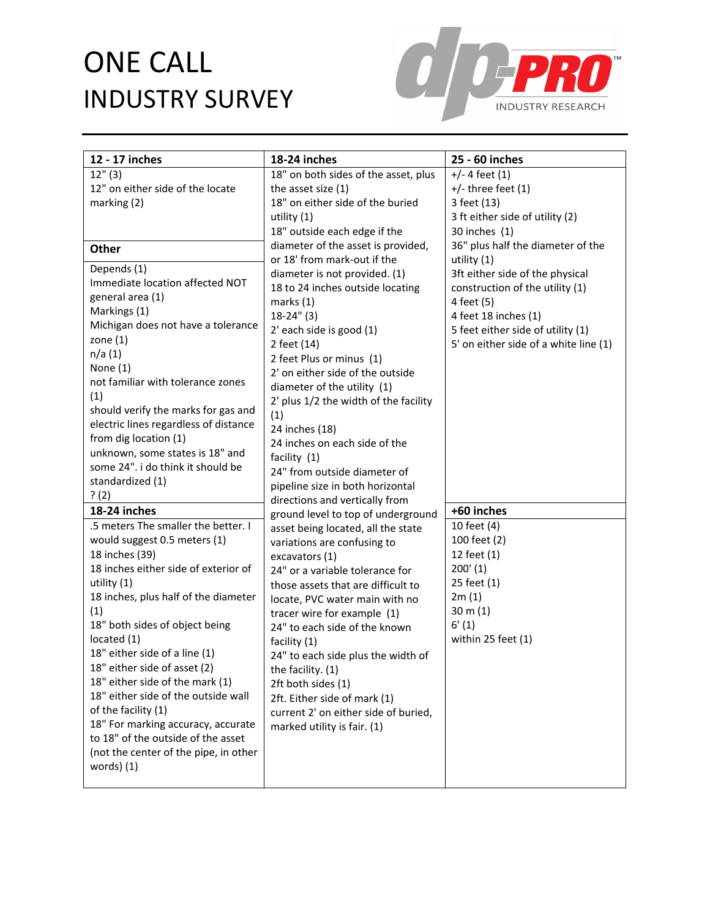

| 12" (3)<br>18" on both sides of the asset, plus<br>$+/- 4$ feet (1)<br>12" on either side of the locate<br>the asset size (1)<br>$+/-$ three feet (1)<br>18" on either side of the buried<br>marking (2)<br>3 feet (13)<br>3 ft either side of utility (2)<br>utility $(1)$<br>18" outside each edge if the<br>30 inches (1)<br>diameter of the asset is provided,<br>36" plus half the diameter of the<br><b>Other</b><br>or 18' from mark-out if the<br>utility $(1)$<br>Depends (1)<br>diameter is not provided. (1)<br>3ft either side of the physical<br>Immediate location affected NOT<br>18 to 24 inches outside locating<br>construction of the utility (1)<br>general area (1)<br>marks $(1)$<br>4 feet (5)<br>Markings (1)<br>$18-24"$ (3)<br>4 feet 18 inches (1)<br>Michigan does not have a tolerance<br>5 feet either side of utility (1)<br>2' each side is good (1)<br>zone $(1)$<br>5' on either side of a white line (1)<br>2 feet (14)<br>n/a(1)<br>2 feet Plus or minus (1)<br>None (1)<br>2' on either side of the outside<br>not familiar with tolerance zones<br>diameter of the utility (1)<br>(1)<br>2' plus 1/2 the width of the facility<br>should verify the marks for gas and<br>(1)<br>electric lines regardless of distance<br>24 inches (18)<br>from dig location (1)<br>24 inches on each side of the<br>unknown, some states is 18" and<br>facility (1)<br>some 24". i do think it should be<br>24" from outside diameter of<br>standardized (1)<br>pipeline size in both horizontal<br>? (2)<br>directions and vertically from<br>18-24 inches<br>+60 inches<br>ground level to top of underground<br>.5 meters The smaller the better. I<br>10 feet (4)<br>asset being located, all the state<br>100 feet (2)<br>would suggest 0.5 meters (1)<br>variations are confusing to<br>18 inches (39)<br>12 feet (1)<br>excavators (1)<br>18 inches either side of exterior of<br>200' (1)<br>24" or a variable tolerance for<br>25 feet (1)<br>utility $(1)$<br>those assets that are difficult to<br>18 inches, plus half of the diameter<br>2m(1)<br>locate, PVC water main with no<br>(1)<br>$30 \text{ m} (1)$<br>tracer wire for example (1)<br>6'(1)<br>18" both sides of object being<br>24" to each side of the known<br>located (1)<br>within $25$ feet $(1)$<br>facility (1)<br>18" either side of a line (1)<br>24" to each side plus the width of |
|----------------------------------------------------------------------------------------------------------------------------------------------------------------------------------------------------------------------------------------------------------------------------------------------------------------------------------------------------------------------------------------------------------------------------------------------------------------------------------------------------------------------------------------------------------------------------------------------------------------------------------------------------------------------------------------------------------------------------------------------------------------------------------------------------------------------------------------------------------------------------------------------------------------------------------------------------------------------------------------------------------------------------------------------------------------------------------------------------------------------------------------------------------------------------------------------------------------------------------------------------------------------------------------------------------------------------------------------------------------------------------------------------------------------------------------------------------------------------------------------------------------------------------------------------------------------------------------------------------------------------------------------------------------------------------------------------------------------------------------------------------------------------------------------------------------------------------------------------------------------------------------------------------------------------------------------------------------------------------------------------------------------------------------------------------------------------------------------------------------------------------------------------------------------------------------------------------------------------------------------------------------------------------------------------------------------------------------------------------------------------------------------|
|                                                                                                                                                                                                                                                                                                                                                                                                                                                                                                                                                                                                                                                                                                                                                                                                                                                                                                                                                                                                                                                                                                                                                                                                                                                                                                                                                                                                                                                                                                                                                                                                                                                                                                                                                                                                                                                                                                                                                                                                                                                                                                                                                                                                                                                                                                                                                                                              |
|                                                                                                                                                                                                                                                                                                                                                                                                                                                                                                                                                                                                                                                                                                                                                                                                                                                                                                                                                                                                                                                                                                                                                                                                                                                                                                                                                                                                                                                                                                                                                                                                                                                                                                                                                                                                                                                                                                                                                                                                                                                                                                                                                                                                                                                                                                                                                                                              |
| 18" either side of asset (2)<br>the facility. $(1)$<br>18" either side of the mark (1)<br>2ft both sides (1)<br>18" either side of the outside wall<br>2ft. Either side of mark (1)<br>of the facility (1)<br>current 2' on either side of buried,<br>18" For marking accuracy, accurate<br>marked utility is fair. (1)<br>to 18" of the outside of the asset                                                                                                                                                                                                                                                                                                                                                                                                                                                                                                                                                                                                                                                                                                                                                                                                                                                                                                                                                                                                                                                                                                                                                                                                                                                                                                                                                                                                                                                                                                                                                                                                                                                                                                                                                                                                                                                                                                                                                                                                                                |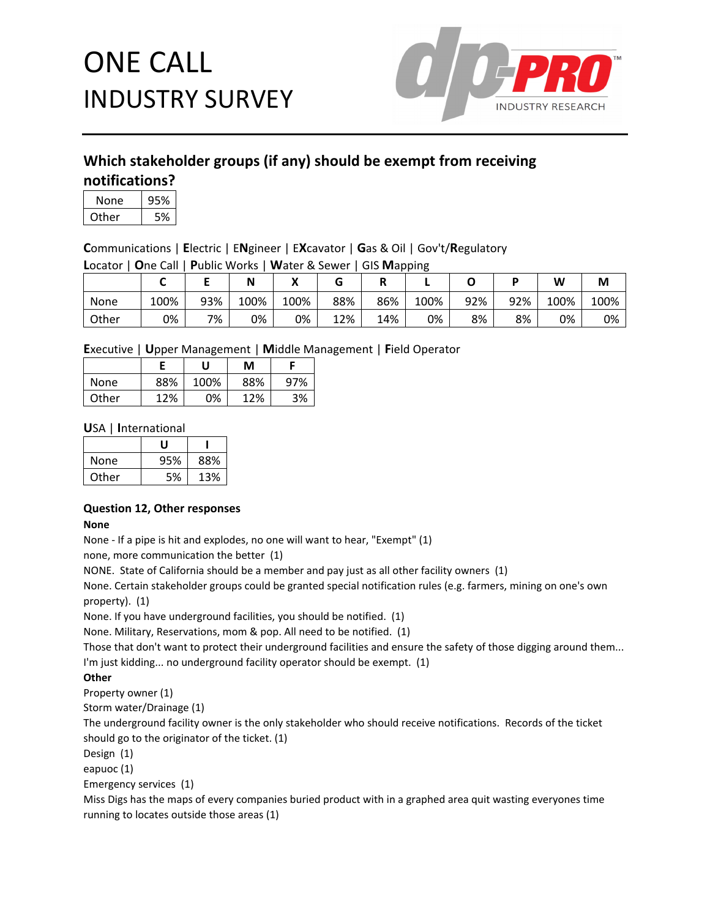

### **Which stakeholder groups (if any) should be exempt from receiving notifications?**

| None  | 95% |
|-------|-----|
| Other | 5%  |

**C**ommunications | **E**lectric | E**N**gineer | E**X**cavator | **G**as & Oil | Gov't/**R**egulatory **L**ocator | **O**ne Call | **P**ublic Works | **W**ater & Sewer | GIS **M**apping

| - - - - - |      |     |      |      |     |     |      |     |     |      |      |
|-----------|------|-----|------|------|-----|-----|------|-----|-----|------|------|
|           |      |     |      | ,,   |     |     |      |     |     | W    | M    |
| None      | 100% | 93% | 100% | 100% | 88% | 86% | 100% | 92% | 92% | 100% | 100% |
| Other     | 0%   | 7%  | 0%   | 0%   | 12% | 14% | 0%   | 8%  | 8%  | 0%   | 0%   |

**E**xecutive | **U**pper Management | **M**iddle Management | **F**ield Operator

|       |     | U    | М   |     |
|-------|-----|------|-----|-----|
| None  | 88% | 100% | 88% | 97% |
| Other | 12% | 0%   | 12% | 3%  |

#### **U**SA | **I**nternational

|       | U   |     |
|-------|-----|-----|
| None  | 95% | 88% |
| Other | 5%  | 13% |

### **Question 12, Other responses**

**None**

None ‐ If a pipe is hit and explodes, no one will want to hear, "Exempt" (1)

none, more communication the better (1)

NONE. State of California should be a member and pay just as all other facility owners (1)

None. Certain stakeholder groups could be granted special notification rules (e.g. farmers, mining on one's own property). (1)

None. If you have underground facilities, you should be notified. (1)

None. Military, Reservations, mom & pop. All need to be notified. (1)

Those that don't want to protect their underground facilities and ensure the safety of those digging around them...

I'm just kidding... no underground facility operator should be exempt. (1)

**Other**

Property owner (1) Storm water/Drainage (1) The underground facility owner is the only stakeholder who should receive notifications. Records of the ticket should go to the originator of the ticket. (1) Design (1) eapuoc (1) Emergency services (1) Miss Digs has the maps of every companies buried product with in a graphed area quit wasting everyones time running to locates outside those areas (1)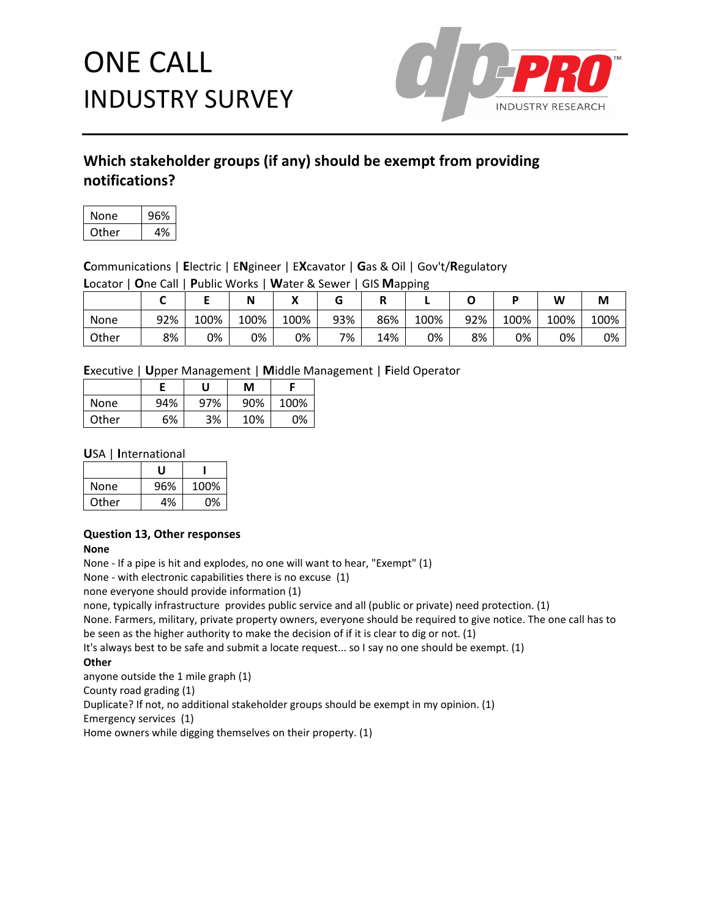

### **Which stakeholder groups (if any) should be exempt from providing notifications?**

| None  | 96% |
|-------|-----|
| Other | 4%  |

**C**ommunications | **E**lectric | E**N**gineer | E**X**cavator | **G**as & Oil | Gov't/**R**egulatory **L**ocator | **O**ne Call | **P**ublic Works | **W**ater & Sewer | GIS **M**apping

|       |     |      |      |      |     |     |      |     |      | W    | M    |
|-------|-----|------|------|------|-----|-----|------|-----|------|------|------|
| None  | 92% | 100% | 100% | 100% | 93% | 86% | 100% | 92% | 100% | 100% | 100% |
| Other | 8%  | 0%   | 0%   | 0%   | 7%  | 14% | 0%   | 8%  | 0%   | 0%   | 0%   |

**E**xecutive | **U**pper Management | **M**iddle Management | **F**ield Operator

|       |     |     | м   |      |
|-------|-----|-----|-----|------|
| None  | 94% | 97% | 90% | 100% |
| Other | 6%  | 3%  | 10% | 0%   |

#### **U**SA | **I**nternational

|       | u   |      |
|-------|-----|------|
| None  | 96% | 100% |
| Other | 4%  | 0%   |

### **Question 13, Other responses**

**None**

None ‐ If a pipe is hit and explodes, no one will want to hear, "Exempt" (1)

None ‐ with electronic capabilities there is no excuse (1)

none everyone should provide information (1)

none, typically infrastructure provides public service and all (public or private) need protection. (1)

None. Farmers, military, private property owners, everyone should be required to give notice. The one call has to be seen as the higher authority to make the decision of if it is clear to dig or not. (1)

It's always best to be safe and submit a locate request... so I say no one should be exempt. (1)

**Other**

anyone outside the 1 mile graph (1)

County road grading (1)

Duplicate? If not, no additional stakeholder groups should be exempt in my opinion. (1)

Emergency services (1)

Home owners while digging themselves on their property. (1)